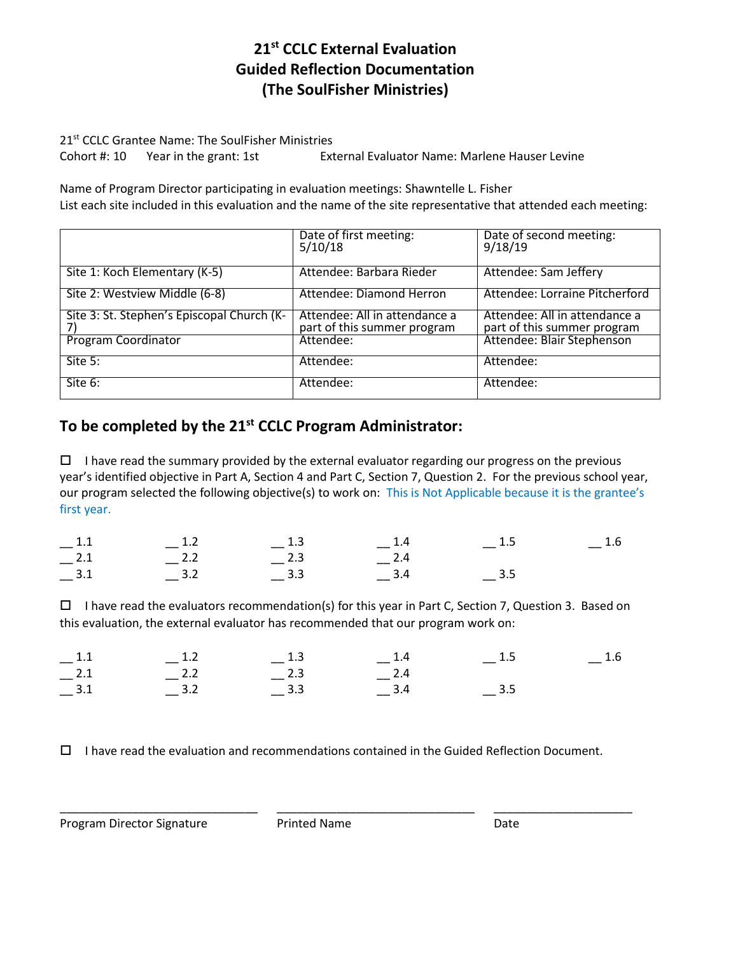# **21st CCLC External Evaluation Guided Reflection Documentation (The SoulFisher Ministries)**

21<sup>st</sup> CCLC Grantee Name: The SoulFisher Ministries

Cohort #: 10 Year in the grant: 1st External Evaluator Name: Marlene Hauser Levine

Name of Program Director participating in evaluation meetings: Shawntelle L. Fisher List each site included in this evaluation and the name of the site representative that attended each meeting:

|                                            | Date of first meeting:<br>5/10/18                            | Date of second meeting:<br>9/18/19                           |
|--------------------------------------------|--------------------------------------------------------------|--------------------------------------------------------------|
| Site 1: Koch Elementary (K-5)              | Attendee: Barbara Rieder                                     | Attendee: Sam Jeffery                                        |
| Site 2: Westview Middle (6-8)              | Attendee: Diamond Herron                                     | Attendee: Lorraine Pitcherford                               |
| Site 3: St. Stephen's Episcopal Church (K- | Attendee: All in attendance a<br>part of this summer program | Attendee: All in attendance a<br>part of this summer program |
| <b>Program Coordinator</b>                 | Attendee:                                                    | Attendee: Blair Stephenson                                   |
| Site 5:                                    | Attendee:                                                    | Attendee:                                                    |
| Site 6:                                    | Attendee:                                                    | Attendee:                                                    |

# **To be completed by the 21st CCLC Program Administrator:**

 $\Box$  I have read the summary provided by the external evaluator regarding our progress on the previous year's identified objective in Part A, Section 4 and Part C, Section 7, Question 2. For the previous school year, our program selected the following objective(s) to work on: This is Not Applicable because it is the grantee's first year.

| $-1.1$  | $-$ 1.2 | $-1.3$                       | $-1.4$      | $-1.6$ |
|---------|---------|------------------------------|-------------|--------|
| $=$ 2.1 | $-2.2$  | $-{}^{2.3}$                  | $-{}^{2.4}$ |        |
| $=$ 3.1 | $-$ 3.2 | $\overline{\phantom{0}}$ 3.3 | 3.4         |        |

 $\Box$  I have read the evaluators recommendation(s) for this year in Part C, Section 7, Question 3. Based on this evaluation, the external evaluator has recommended that our program work on:

|                                                          | $-1.2$  | $-1.3$          | $-1.4$      | $-1.5$  | $-1.6$ |
|----------------------------------------------------------|---------|-----------------|-------------|---------|--------|
|                                                          | $-$ 2.2 | $-^{2.3}$       | $-{}^{2.4}$ |         |        |
| $ \frac{1.1}{-}$<br>$ \frac{2.1}{-}$<br>$ \frac{3.1}{-}$ | $-$ 3.2 | $\frac{3.3}{2}$ | $-$ 3.4     | $-$ 3.5 |        |

 $\Box$  I have read the evaluation and recommendations contained in the Guided Reflection Document.

\_\_\_\_\_\_\_\_\_\_\_\_\_\_\_\_\_\_\_\_\_\_\_\_\_\_\_\_\_\_ \_\_\_\_\_\_\_\_\_\_\_\_\_\_\_\_\_\_\_\_\_\_\_\_\_\_\_\_\_\_ \_\_\_\_\_\_\_\_\_\_\_\_\_\_\_\_\_\_\_\_\_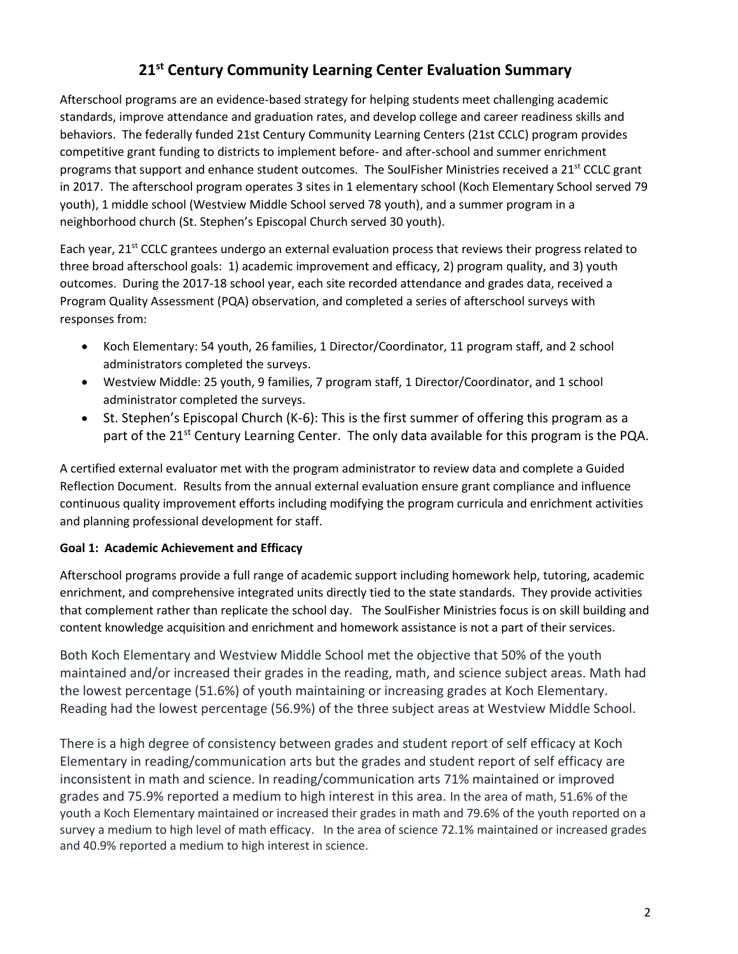# **21st Century Community Learning Center Evaluation Summary**

Afterschool programs are an evidence-based strategy for helping students meet challenging academic standards, improve attendance and graduation rates, and develop college and career readiness skills and behaviors. The federally funded 21st Century Community Learning Centers (21st CCLC) program provides competitive grant funding to districts to implement before- and after-school and summer enrichment programs that support and enhance student outcomes. The SoulFisher Ministries received a 21<sup>st</sup> CCLC grant in 2017. The afterschool program operates 3 sites in 1 elementary school (Koch Elementary School served 79 youth), 1 middle school (Westview Middle School served 78 youth), and a summer program in a neighborhood church (St. Stephen's Episcopal Church served 30 youth).

Each year, 21<sup>st</sup> CCLC grantees undergo an external evaluation process that reviews their progress related to three broad afterschool goals: 1) academic improvement and efficacy, 2) program quality, and 3) youth outcomes. During the 2017-18 school year, each site recorded attendance and grades data, received a Program Quality Assessment (PQA) observation, and completed a series of afterschool surveys with responses from:

- Koch Elementary: 54 youth, 26 families, 1 Director/Coordinator, 11 program staff, and 2 school administrators completed the surveys.
- Westview Middle: 25 youth, 9 families, 7 program staff, 1 Director/Coordinator, and 1 school administrator completed the surveys.
- St. Stephen's Episcopal Church (K-6): This is the first summer of offering this program as a part of the 21<sup>st</sup> Century Learning Center. The only data available for this program is the PQA.

A certified external evaluator met with the program administrator to review data and complete a Guided Reflection Document. Results from the annual external evaluation ensure grant compliance and influence continuous quality improvement efforts including modifying the program curricula and enrichment activities and planning professional development for staff.

## **Goal 1: Academic Achievement and Efficacy**

Afterschool programs provide a full range of academic support including homework help, tutoring, academic enrichment, and comprehensive integrated units directly tied to the state standards. They provide activities that complement rather than replicate the school day. The SoulFisher Ministries focus is on skill building and content knowledge acquisition and enrichment and homework assistance is not a part of their services.

Both Koch Elementary and Westview Middle School met the objective that 50% of the youth maintained and/or increased their grades in the reading, math, and science subject areas. Math had the lowest percentage (51.6%) of youth maintaining or increasing grades at Koch Elementary. Reading had the lowest percentage (56.9%) of the three subject areas at Westview Middle School.

There is a high degree of consistency between grades and student report of self efficacy at Koch Elementary in reading/communication arts but the grades and student report of self efficacy are inconsistent in math and science. In reading/communication arts 71% maintained or improved grades and 75.9% reported a medium to high interest in this area. In the area of math, 51.6% of the youth a Koch Elementary maintained or increased their grades in math and 79.6% of the youth reported on a survey a medium to high level of math efficacy. In the area of science 72.1% maintained or increased grades and 40.9% reported a medium to high interest in science.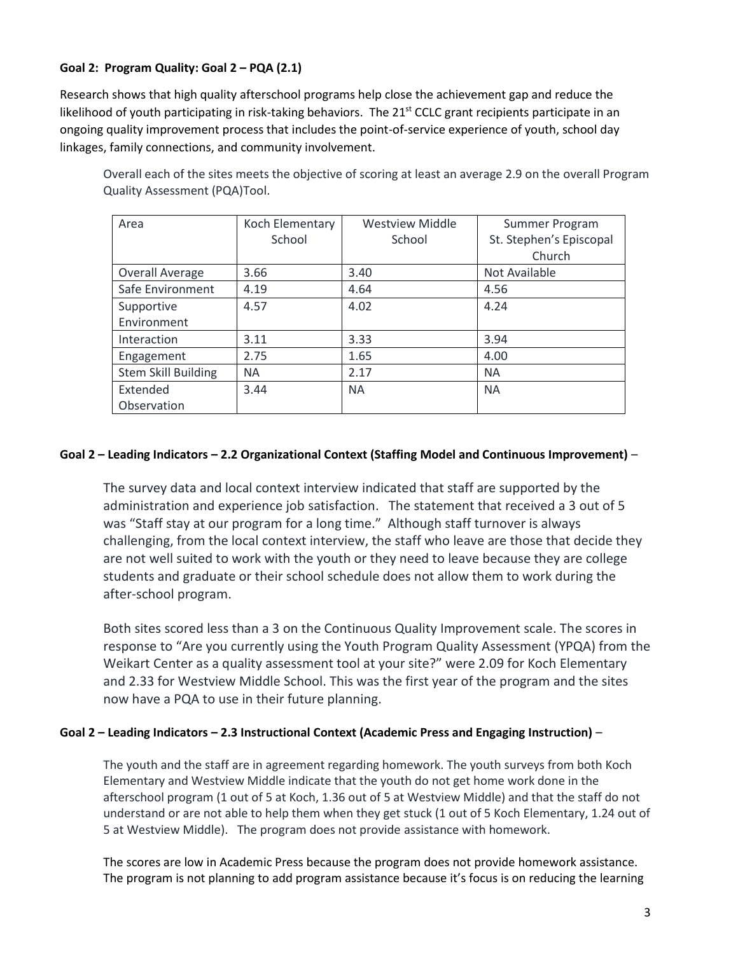#### **Goal 2: Program Quality: Goal 2 – PQA (2.1)**

Research shows that high quality afterschool programs help close the achievement gap and reduce the likelihood of youth participating in risk-taking behaviors. The 21<sup>st</sup> CCLC grant recipients participate in an ongoing quality improvement process that includes the point-of-service experience of youth, school day linkages, family connections, and community involvement.

Area Koch Elementary School Westview Middle **School** Summer Program St. Stephen's Episcopal Church Overall Average 3.66 3.40 Not Available Safe Environment | 4.19 | 4.64 | 4.56 Supportive Environment 4.57 4.02 4.24 Interaction | 3.11 | 3.33 | 3.94 Engagement 2.75 1.65 4.00 Stem Skill Building NA 2.17 NA Extended **Observation** 3.44 NA NA

Overall each of the sites meets the objective of scoring at least an average 2.9 on the overall Program Quality Assessment (PQA)Tool.

#### **Goal 2 – Leading Indicators – 2.2 Organizational Context (Staffing Model and Continuous Improvement)** –

The survey data and local context interview indicated that staff are supported by the administration and experience job satisfaction. The statement that received a 3 out of 5 was "Staff stay at our program for a long time." Although staff turnover is always challenging, from the local context interview, the staff who leave are those that decide they are not well suited to work with the youth or they need to leave because they are college students and graduate or their school schedule does not allow them to work during the after-school program.

Both sites scored less than a 3 on the Continuous Quality Improvement scale. The scores in response to "Are you currently using the Youth Program Quality Assessment (YPQA) from the Weikart Center as a quality assessment tool at your site?" were 2.09 for Koch Elementary and 2.33 for Westview Middle School. This was the first year of the program and the sites now have a PQA to use in their future planning.

#### **Goal 2 – Leading Indicators – 2.3 Instructional Context (Academic Press and Engaging Instruction)** –

The youth and the staff are in agreement regarding homework. The youth surveys from both Koch Elementary and Westview Middle indicate that the youth do not get home work done in the afterschool program (1 out of 5 at Koch, 1.36 out of 5 at Westview Middle) and that the staff do not understand or are not able to help them when they get stuck (1 out of 5 Koch Elementary, 1.24 out of 5 at Westview Middle). The program does not provide assistance with homework.

The scores are low in Academic Press because the program does not provide homework assistance. The program is not planning to add program assistance because it's focus is on reducing the learning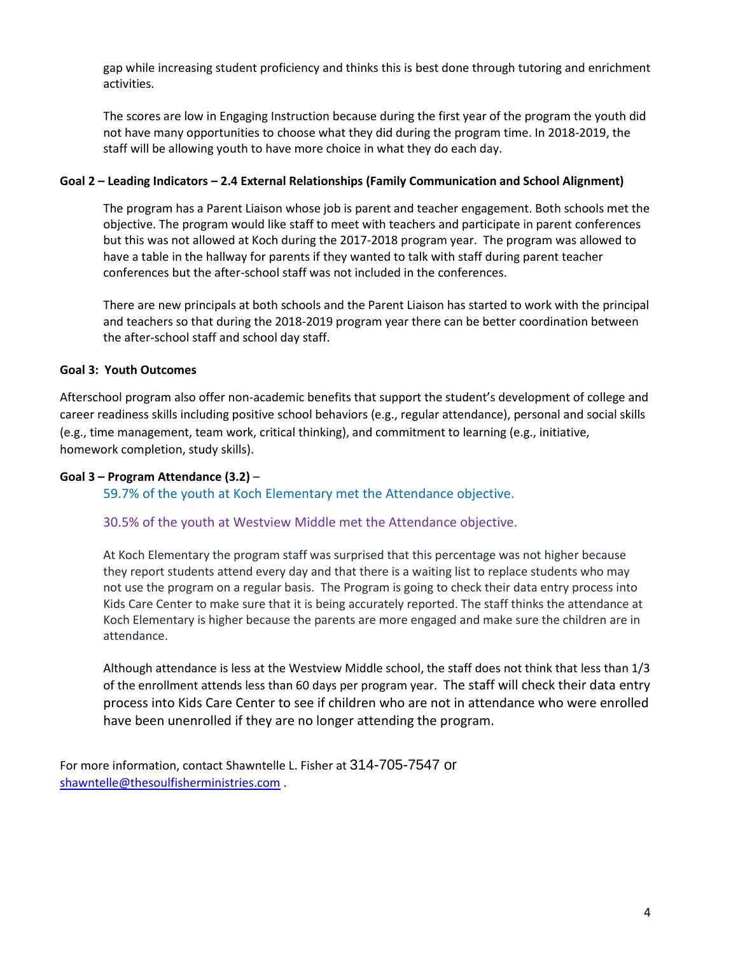gap while increasing student proficiency and thinks this is best done through tutoring and enrichment activities.

The scores are low in Engaging Instruction because during the first year of the program the youth did not have many opportunities to choose what they did during the program time. In 2018-2019, the staff will be allowing youth to have more choice in what they do each day.

#### **Goal 2 – Leading Indicators – 2.4 External Relationships (Family Communication and School Alignment)**

The program has a Parent Liaison whose job is parent and teacher engagement. Both schools met the objective. The program would like staff to meet with teachers and participate in parent conferences but this was not allowed at Koch during the 2017-2018 program year. The program was allowed to have a table in the hallway for parents if they wanted to talk with staff during parent teacher conferences but the after-school staff was not included in the conferences.

There are new principals at both schools and the Parent Liaison has started to work with the principal and teachers so that during the 2018-2019 program year there can be better coordination between the after-school staff and school day staff.

#### **Goal 3: Youth Outcomes**

Afterschool program also offer non-academic benefits that support the student's development of college and career readiness skills including positive school behaviors (e.g., regular attendance), personal and social skills (e.g., time management, team work, critical thinking), and commitment to learning (e.g., initiative, homework completion, study skills).

#### **Goal 3 – Program Attendance (3.2)** –

59.7% of the youth at Koch Elementary met the Attendance objective.

#### 30.5% of the youth at Westview Middle met the Attendance objective.

At Koch Elementary the program staff was surprised that this percentage was not higher because they report students attend every day and that there is a waiting list to replace students who may not use the program on a regular basis. The Program is going to check their data entry process into Kids Care Center to make sure that it is being accurately reported. The staff thinks the attendance at Koch Elementary is higher because the parents are more engaged and make sure the children are in attendance.

Although attendance is less at the Westview Middle school, the staff does not think that less than 1/3 of the enrollment attends less than 60 days per program year. The staff will check their data entry process into Kids Care Center to see if children who are not in attendance who were enrolled have been unenrolled if they are no longer attending the program.

For more information, contact Shawntelle L. Fisher at 314-705-7547 or [shawntelle@thesoulfisherministries.com](mailto:shawntelle@thesoulfisherministries.com) .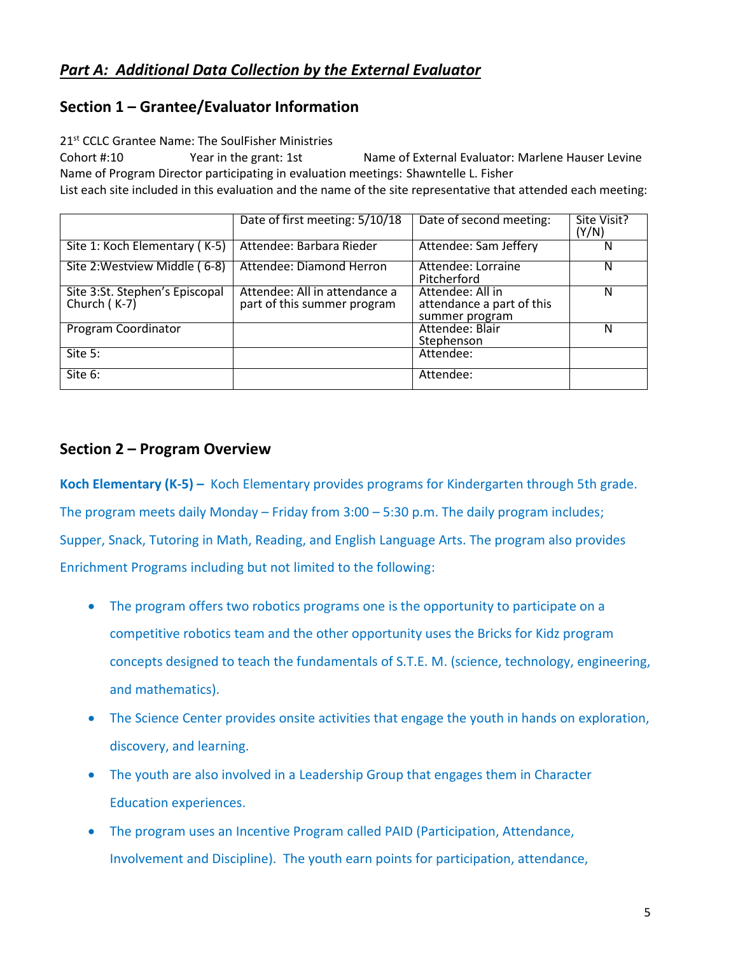# *Part A: Additional Data Collection by the External Evaluator*

# **Section 1 – Grantee/Evaluator Information**

21<sup>st</sup> CCLC Grantee Name: The SoulFisher Ministries

Cohort #:10 Year in the grant: 1st Name of External Evaluator: Marlene Hauser Levine Name of Program Director participating in evaluation meetings: Shawntelle L. Fisher List each site included in this evaluation and the name of the site representative that attended each meeting:

|                                                | Date of first meeting: 5/10/18                               | Date of second meeting:                                         | Site Visit?<br>(Y/N) |
|------------------------------------------------|--------------------------------------------------------------|-----------------------------------------------------------------|----------------------|
| Site 1: Koch Elementary (K-5)                  | Attendee: Barbara Rieder                                     | Attendee: Sam Jeffery                                           | N                    |
| Site 2: Westview Middle (6-8)                  | Attendee: Diamond Herron                                     | Attendee: Lorraine<br>Pitcherford                               | N                    |
| Site 3:St. Stephen's Episcopal<br>Church (K-7) | Attendee: All in attendance a<br>part of this summer program | Attendee: All in<br>attendance a part of this<br>summer program | N                    |
| Program Coordinator                            |                                                              | Attendee: Blair<br>Stephenson                                   | N                    |
| Site 5:                                        |                                                              | Attendee:                                                       |                      |
| Site 6:                                        |                                                              | Attendee:                                                       |                      |

# **Section 2 – Program Overview**

**Koch Elementary (K-5) –** Koch Elementary provides programs for Kindergarten through 5th grade. The program meets daily Monday – Friday from 3:00 – 5:30 p.m. The daily program includes; Supper, Snack, Tutoring in Math, Reading, and English Language Arts. The program also provides Enrichment Programs including but not limited to the following:

- The program offers two robotics programs one is the opportunity to participate on a competitive robotics team and the other opportunity uses the Bricks for Kidz program concepts designed to teach the fundamentals of S.T.E. M. (science, technology, engineering, and mathematics).
- The Science Center provides onsite activities that engage the youth in hands on exploration, discovery, and learning.
- The youth are also involved in a Leadership Group that engages them in Character Education experiences.
- The program uses an Incentive Program called PAID (Participation, Attendance, Involvement and Discipline). The youth earn points for participation, attendance,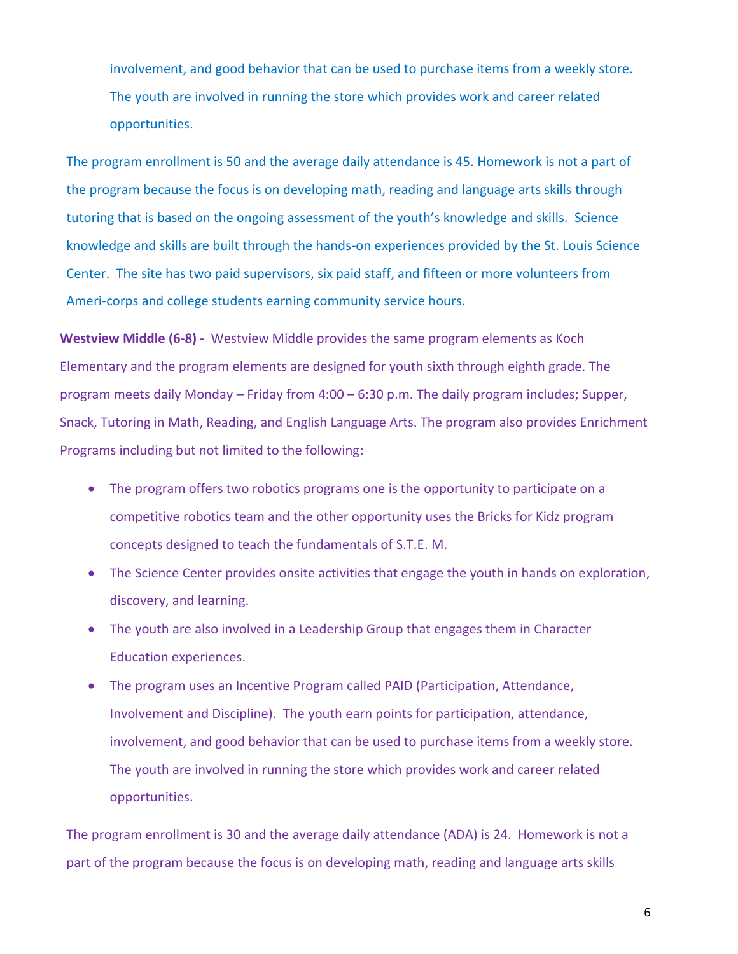involvement, and good behavior that can be used to purchase items from a weekly store. The youth are involved in running the store which provides work and career related opportunities.

The program enrollment is 50 and the average daily attendance is 45. Homework is not a part of the program because the focus is on developing math, reading and language arts skills through tutoring that is based on the ongoing assessment of the youth's knowledge and skills. Science knowledge and skills are built through the hands-on experiences provided by the St. Louis Science Center. The site has two paid supervisors, six paid staff, and fifteen or more volunteers from Ameri-corps and college students earning community service hours.

**Westview Middle (6-8) -** Westview Middle provides the same program elements as Koch Elementary and the program elements are designed for youth sixth through eighth grade. The program meets daily Monday – Friday from 4:00 – 6:30 p.m. The daily program includes; Supper, Snack, Tutoring in Math, Reading, and English Language Arts. The program also provides Enrichment Programs including but not limited to the following:

- The program offers two robotics programs one is the opportunity to participate on a competitive robotics team and the other opportunity uses the Bricks for Kidz program concepts designed to teach the fundamentals of S.T.E. M.
- The Science Center provides onsite activities that engage the youth in hands on exploration, discovery, and learning.
- The youth are also involved in a Leadership Group that engages them in Character Education experiences.
- The program uses an Incentive Program called PAID (Participation, Attendance, Involvement and Discipline). The youth earn points for participation, attendance, involvement, and good behavior that can be used to purchase items from a weekly store. The youth are involved in running the store which provides work and career related opportunities.

The program enrollment is 30 and the average daily attendance (ADA) is 24. Homework is not a part of the program because the focus is on developing math, reading and language arts skills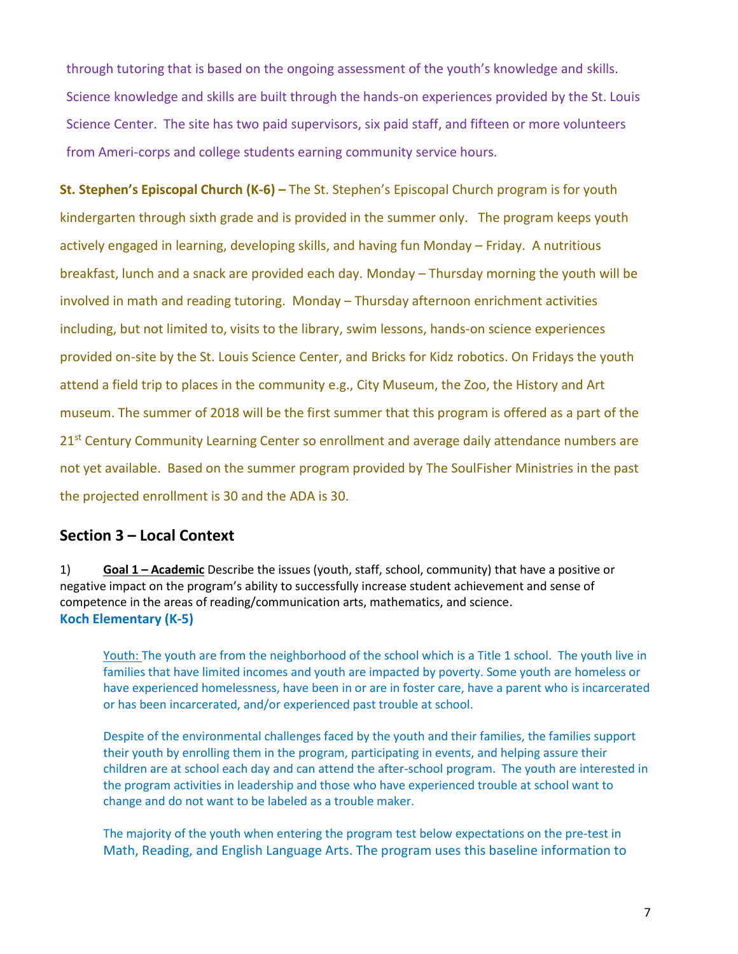through tutoring that is based on the ongoing assessment of the youth's knowledge and skills. Science knowledge and skills are built through the hands-on experiences provided by the St. Louis Science Center. The site has two paid supervisors, six paid staff, and fifteen or more volunteers from Ameri-corps and college students earning community service hours.

**St. Stephen's Episcopal Church (K-6) –** The St. Stephen's Episcopal Church program is for youth kindergarten through sixth grade and is provided in the summer only. The program keeps youth actively engaged in learning, developing skills, and having fun Monday – Friday. A nutritious breakfast, lunch and a snack are provided each day. Monday – Thursday morning the youth will be involved in math and reading tutoring. Monday – Thursday afternoon enrichment activities including, but not limited to, visits to the library, swim lessons, hands-on science experiences provided on-site by the St. Louis Science Center, and Bricks for Kidz robotics. On Fridays the youth attend a field trip to places in the community e.g., City Museum, the Zoo, the History and Art museum. The summer of 2018 will be the first summer that this program is offered as a part of the 21<sup>st</sup> Century Community Learning Center so enrollment and average daily attendance numbers are not yet available. Based on the summer program provided by The SoulFisher Ministries in the past the projected enrollment is 30 and the ADA is 30.

## **Section 3 – Local Context**

1) **Goal 1 – Academic** Describe the issues (youth, staff, school, community) that have a positive or negative impact on the program's ability to successfully increase student achievement and sense of competence in the areas of reading/communication arts, mathematics, and science. **Koch Elementary (K-5)** 

Youth: The youth are from the neighborhood of the school which is a Title 1 school. The youth live in families that have limited incomes and youth are impacted by poverty. Some youth are homeless or have experienced homelessness, have been in or are in foster care, have a parent who is incarcerated or has been incarcerated, and/or experienced past trouble at school.

Despite of the environmental challenges faced by the youth and their families, the families support their youth by enrolling them in the program, participating in events, and helping assure their children are at school each day and can attend the after-school program. The youth are interested in the program activities in leadership and those who have experienced trouble at school want to change and do not want to be labeled as a trouble maker.

The majority of the youth when entering the program test below expectations on the pre-test in Math, Reading, and English Language Arts. The program uses this baseline information to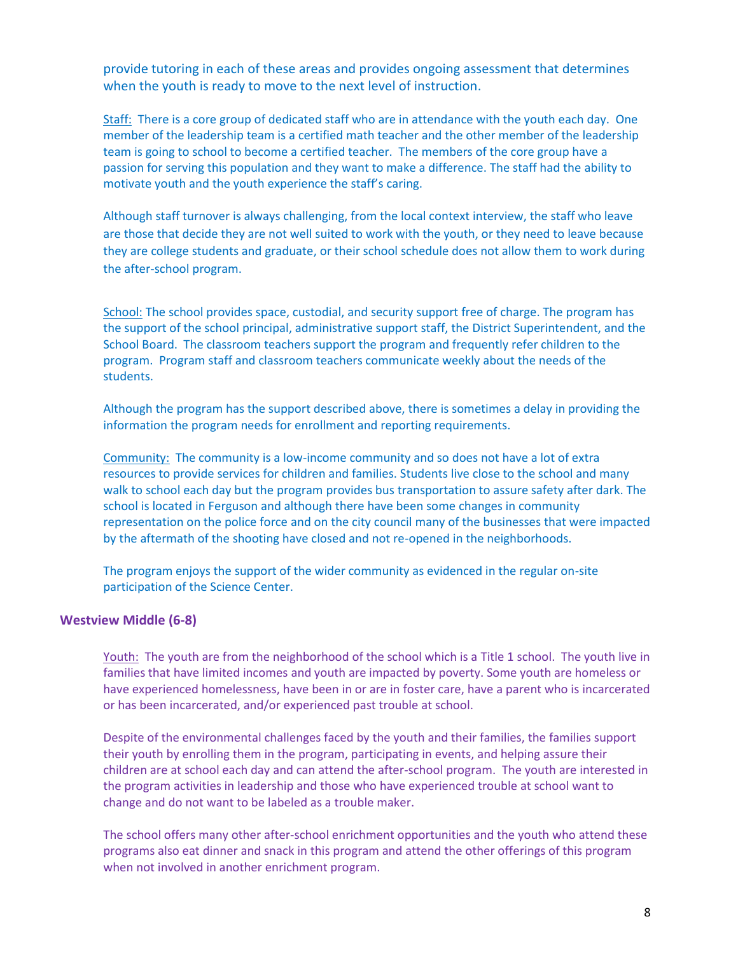provide tutoring in each of these areas and provides ongoing assessment that determines when the youth is ready to move to the next level of instruction.

Staff: There is a core group of dedicated staff who are in attendance with the youth each day. One member of the leadership team is a certified math teacher and the other member of the leadership team is going to school to become a certified teacher. The members of the core group have a passion for serving this population and they want to make a difference. The staff had the ability to motivate youth and the youth experience the staff's caring.

Although staff turnover is always challenging, from the local context interview, the staff who leave are those that decide they are not well suited to work with the youth, or they need to leave because they are college students and graduate, or their school schedule does not allow them to work during the after-school program.

School: The school provides space, custodial, and security support free of charge. The program has the support of the school principal, administrative support staff, the District Superintendent, and the School Board. The classroom teachers support the program and frequently refer children to the program. Program staff and classroom teachers communicate weekly about the needs of the students.

Although the program has the support described above, there is sometimes a delay in providing the information the program needs for enrollment and reporting requirements.

Community: The community is a low-income community and so does not have a lot of extra resources to provide services for children and families. Students live close to the school and many walk to school each day but the program provides bus transportation to assure safety after dark. The school is located in Ferguson and although there have been some changes in community representation on the police force and on the city council many of the businesses that were impacted by the aftermath of the shooting have closed and not re-opened in the neighborhoods.

The program enjoys the support of the wider community as evidenced in the regular on-site participation of the Science Center.

#### **Westview Middle (6-8)**

Youth: The youth are from the neighborhood of the school which is a Title 1 school. The youth live in families that have limited incomes and youth are impacted by poverty. Some youth are homeless or have experienced homelessness, have been in or are in foster care, have a parent who is incarcerated or has been incarcerated, and/or experienced past trouble at school.

Despite of the environmental challenges faced by the youth and their families, the families support their youth by enrolling them in the program, participating in events, and helping assure their children are at school each day and can attend the after-school program. The youth are interested in the program activities in leadership and those who have experienced trouble at school want to change and do not want to be labeled as a trouble maker.

The school offers many other after-school enrichment opportunities and the youth who attend these programs also eat dinner and snack in this program and attend the other offerings of this program when not involved in another enrichment program.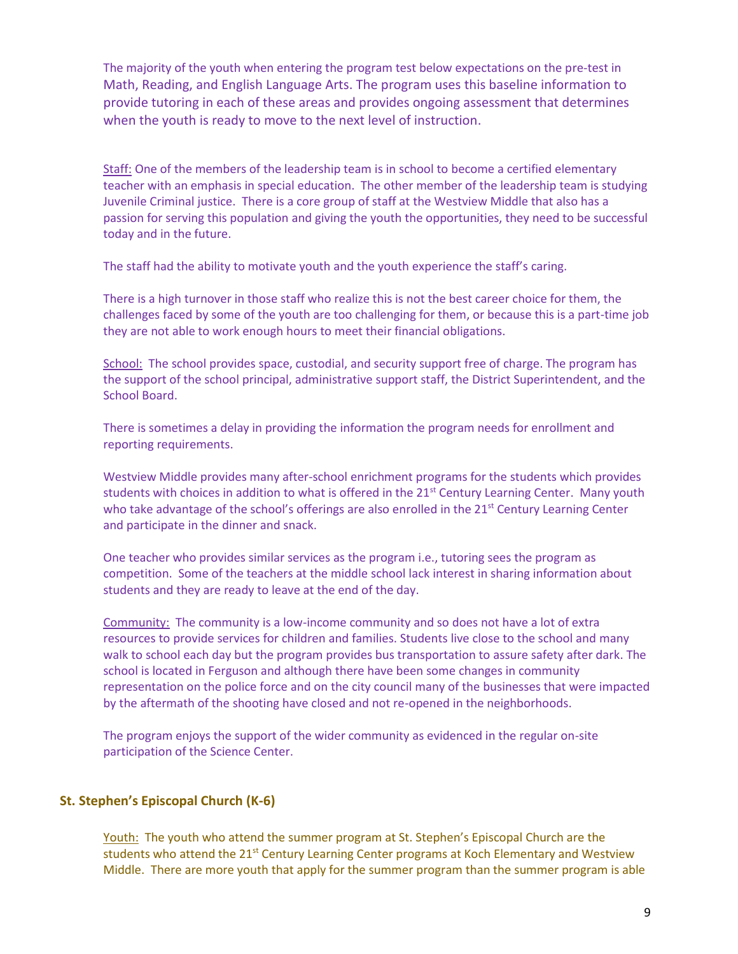The majority of the youth when entering the program test below expectations on the pre-test in Math, Reading, and English Language Arts. The program uses this baseline information to provide tutoring in each of these areas and provides ongoing assessment that determines when the youth is ready to move to the next level of instruction.

Staff: One of the members of the leadership team is in school to become a certified elementary teacher with an emphasis in special education. The other member of the leadership team is studying Juvenile Criminal justice. There is a core group of staff at the Westview Middle that also has a passion for serving this population and giving the youth the opportunities, they need to be successful today and in the future.

The staff had the ability to motivate youth and the youth experience the staff's caring.

There is a high turnover in those staff who realize this is not the best career choice for them, the challenges faced by some of the youth are too challenging for them, or because this is a part-time job they are not able to work enough hours to meet their financial obligations.

School: The school provides space, custodial, and security support free of charge. The program has the support of the school principal, administrative support staff, the District Superintendent, and the School Board.

There is sometimes a delay in providing the information the program needs for enrollment and reporting requirements.

Westview Middle provides many after-school enrichment programs for the students which provides students with choices in addition to what is offered in the 21<sup>st</sup> Century Learning Center. Many youth who take advantage of the school's offerings are also enrolled in the  $21^{st}$  Century Learning Center and participate in the dinner and snack.

One teacher who provides similar services as the program i.e., tutoring sees the program as competition. Some of the teachers at the middle school lack interest in sharing information about students and they are ready to leave at the end of the day.

Community: The community is a low-income community and so does not have a lot of extra resources to provide services for children and families. Students live close to the school and many walk to school each day but the program provides bus transportation to assure safety after dark. The school is located in Ferguson and although there have been some changes in community representation on the police force and on the city council many of the businesses that were impacted by the aftermath of the shooting have closed and not re-opened in the neighborhoods.

The program enjoys the support of the wider community as evidenced in the regular on-site participation of the Science Center.

#### **St. Stephen's Episcopal Church (K-6)**

Youth: The youth who attend the summer program at St. Stephen's Episcopal Church are the students who attend the 21<sup>st</sup> Century Learning Center programs at Koch Elementary and Westview Middle. There are more youth that apply for the summer program than the summer program is able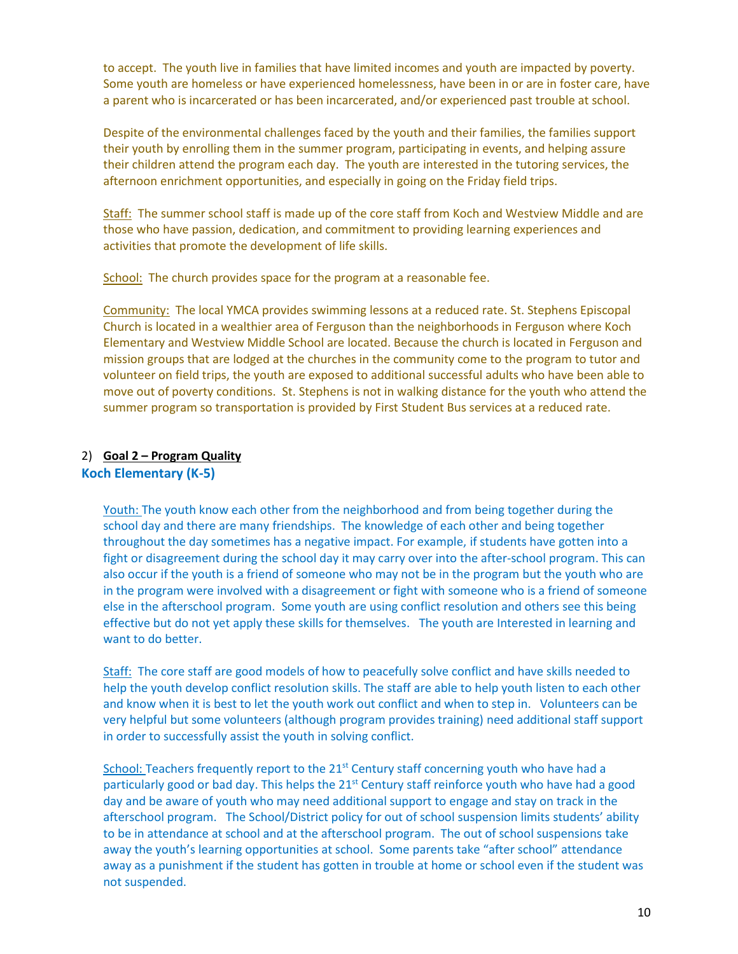to accept. The youth live in families that have limited incomes and youth are impacted by poverty. Some youth are homeless or have experienced homelessness, have been in or are in foster care, have a parent who is incarcerated or has been incarcerated, and/or experienced past trouble at school.

Despite of the environmental challenges faced by the youth and their families, the families support their youth by enrolling them in the summer program, participating in events, and helping assure their children attend the program each day. The youth are interested in the tutoring services, the afternoon enrichment opportunities, and especially in going on the Friday field trips.

Staff: The summer school staff is made up of the core staff from Koch and Westview Middle and are those who have passion, dedication, and commitment to providing learning experiences and activities that promote the development of life skills.

School: The church provides space for the program at a reasonable fee.

Community: The local YMCA provides swimming lessons at a reduced rate. St. Stephens Episcopal Church is located in a wealthier area of Ferguson than the neighborhoods in Ferguson where Koch Elementary and Westview Middle School are located. Because the church is located in Ferguson and mission groups that are lodged at the churches in the community come to the program to tutor and volunteer on field trips, the youth are exposed to additional successful adults who have been able to move out of poverty conditions. St. Stephens is not in walking distance for the youth who attend the summer program so transportation is provided by First Student Bus services at a reduced rate.

#### 2) **Goal 2 – Program Quality Koch Elementary (K-5)**

Youth: The youth know each other from the neighborhood and from being together during the school day and there are many friendships. The knowledge of each other and being together throughout the day sometimes has a negative impact. For example, if students have gotten into a fight or disagreement during the school day it may carry over into the after-school program. This can also occur if the youth is a friend of someone who may not be in the program but the youth who are in the program were involved with a disagreement or fight with someone who is a friend of someone else in the afterschool program. Some youth are using conflict resolution and others see this being effective but do not yet apply these skills for themselves. The youth are Interested in learning and want to do better.

Staff: The core staff are good models of how to peacefully solve conflict and have skills needed to help the youth develop conflict resolution skills. The staff are able to help youth listen to each other and know when it is best to let the youth work out conflict and when to step in. Volunteers can be very helpful but some volunteers (although program provides training) need additional staff support in order to successfully assist the youth in solving conflict.

School: Teachers frequently report to the 21<sup>st</sup> Century staff concerning youth who have had a particularly good or bad day. This helps the 21<sup>st</sup> Century staff reinforce youth who have had a good day and be aware of youth who may need additional support to engage and stay on track in the afterschool program. The School/District policy for out of school suspension limits students' ability to be in attendance at school and at the afterschool program. The out of school suspensions take away the youth's learning opportunities at school. Some parents take "after school" attendance away as a punishment if the student has gotten in trouble at home or school even if the student was not suspended.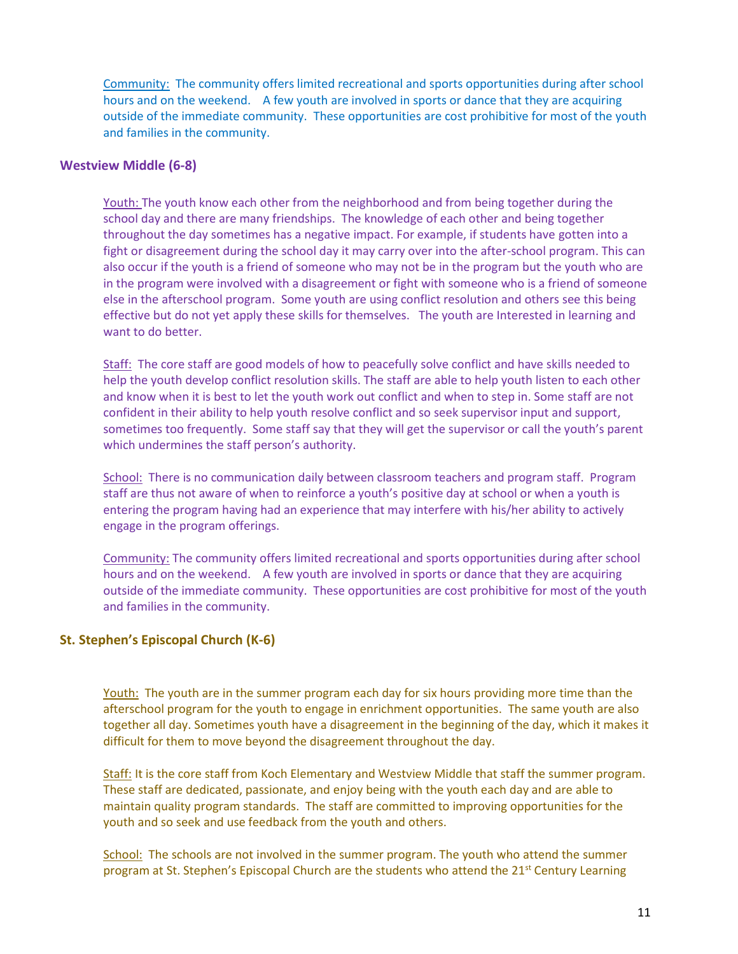Community: The community offers limited recreational and sports opportunities during after school hours and on the weekend. A few youth are involved in sports or dance that they are acquiring outside of the immediate community. These opportunities are cost prohibitive for most of the youth and families in the community.

#### **Westview Middle (6-8)**

Youth: The youth know each other from the neighborhood and from being together during the school day and there are many friendships. The knowledge of each other and being together throughout the day sometimes has a negative impact. For example, if students have gotten into a fight or disagreement during the school day it may carry over into the after-school program. This can also occur if the youth is a friend of someone who may not be in the program but the youth who are in the program were involved with a disagreement or fight with someone who is a friend of someone else in the afterschool program. Some youth are using conflict resolution and others see this being effective but do not yet apply these skills for themselves. The youth are Interested in learning and want to do better.

Staff: The core staff are good models of how to peacefully solve conflict and have skills needed to help the youth develop conflict resolution skills. The staff are able to help youth listen to each other and know when it is best to let the youth work out conflict and when to step in. Some staff are not confident in their ability to help youth resolve conflict and so seek supervisor input and support, sometimes too frequently. Some staff say that they will get the supervisor or call the youth's parent which undermines the staff person's authority.

School: There is no communication daily between classroom teachers and program staff. Program staff are thus not aware of when to reinforce a youth's positive day at school or when a youth is entering the program having had an experience that may interfere with his/her ability to actively engage in the program offerings.

Community: The community offers limited recreational and sports opportunities during after school hours and on the weekend. A few youth are involved in sports or dance that they are acquiring outside of the immediate community. These opportunities are cost prohibitive for most of the youth and families in the community.

#### **St. Stephen's Episcopal Church (K-6)**

Youth: The youth are in the summer program each day for six hours providing more time than the afterschool program for the youth to engage in enrichment opportunities. The same youth are also together all day. Sometimes youth have a disagreement in the beginning of the day, which it makes it difficult for them to move beyond the disagreement throughout the day.

Staff: It is the core staff from Koch Elementary and Westview Middle that staff the summer program. These staff are dedicated, passionate, and enjoy being with the youth each day and are able to maintain quality program standards. The staff are committed to improving opportunities for the youth and so seek and use feedback from the youth and others.

School: The schools are not involved in the summer program. The youth who attend the summer program at St. Stephen's Episcopal Church are the students who attend the 21<sup>st</sup> Century Learning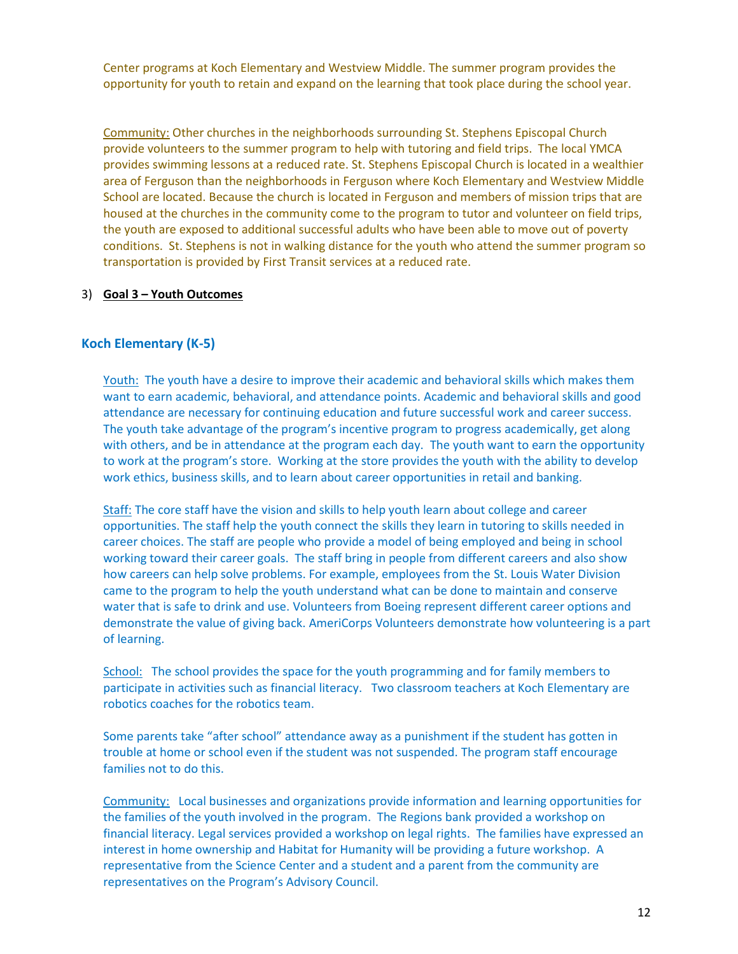Center programs at Koch Elementary and Westview Middle. The summer program provides the opportunity for youth to retain and expand on the learning that took place during the school year.

Community: Other churches in the neighborhoods surrounding St. Stephens Episcopal Church provide volunteers to the summer program to help with tutoring and field trips. The local YMCA provides swimming lessons at a reduced rate. St. Stephens Episcopal Church is located in a wealthier area of Ferguson than the neighborhoods in Ferguson where Koch Elementary and Westview Middle School are located. Because the church is located in Ferguson and members of mission trips that are housed at the churches in the community come to the program to tutor and volunteer on field trips, the youth are exposed to additional successful adults who have been able to move out of poverty conditions. St. Stephens is not in walking distance for the youth who attend the summer program so transportation is provided by First Transit services at a reduced rate.

#### 3) **Goal 3 – Youth Outcomes**

#### **Koch Elementary (K-5)**

Youth: The youth have a desire to improve their academic and behavioral skills which makes them want to earn academic, behavioral, and attendance points. Academic and behavioral skills and good attendance are necessary for continuing education and future successful work and career success. The youth take advantage of the program's incentive program to progress academically, get along with others, and be in attendance at the program each day. The youth want to earn the opportunity to work at the program's store. Working at the store provides the youth with the ability to develop work ethics, business skills, and to learn about career opportunities in retail and banking.

Staff: The core staff have the vision and skills to help youth learn about college and career opportunities. The staff help the youth connect the skills they learn in tutoring to skills needed in career choices. The staff are people who provide a model of being employed and being in school working toward their career goals. The staff bring in people from different careers and also show how careers can help solve problems. For example, employees from the St. Louis Water Division came to the program to help the youth understand what can be done to maintain and conserve water that is safe to drink and use. Volunteers from Boeing represent different career options and demonstrate the value of giving back. AmeriCorps Volunteers demonstrate how volunteering is a part of learning.

School: The school provides the space for the youth programming and for family members to participate in activities such as financial literacy. Two classroom teachers at Koch Elementary are robotics coaches for the robotics team.

Some parents take "after school" attendance away as a punishment if the student has gotten in trouble at home or school even if the student was not suspended. The program staff encourage families not to do this.

Community: Local businesses and organizations provide information and learning opportunities for the families of the youth involved in the program. The Regions bank provided a workshop on financial literacy. Legal services provided a workshop on legal rights. The families have expressed an interest in home ownership and Habitat for Humanity will be providing a future workshop. A representative from the Science Center and a student and a parent from the community are representatives on the Program's Advisory Council.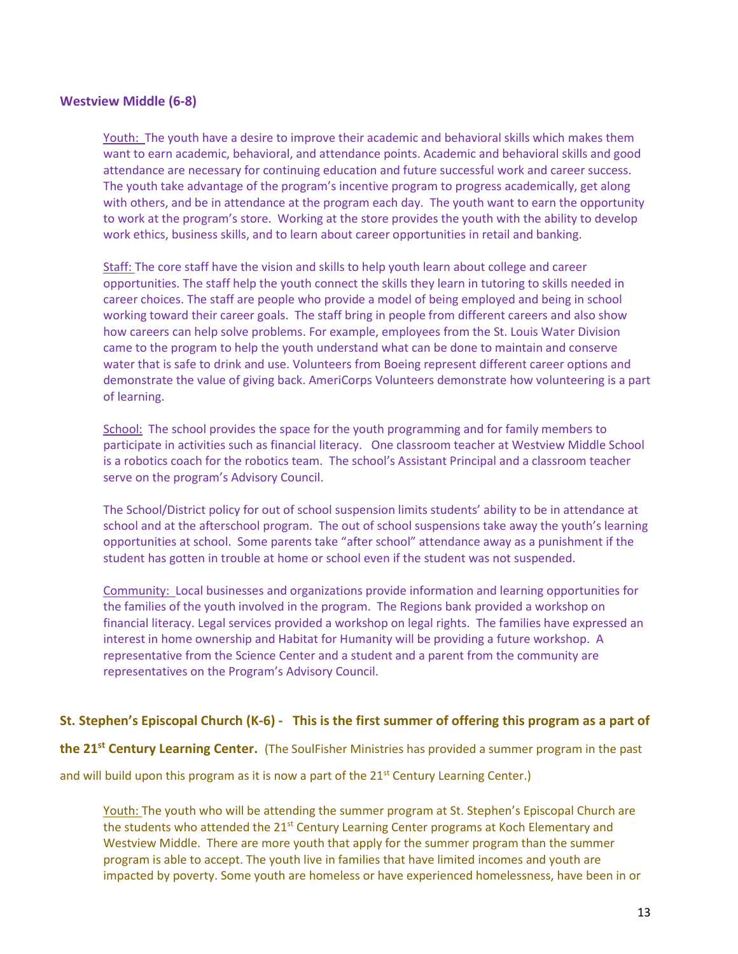#### **Westview Middle (6-8)**

Youth: The youth have a desire to improve their academic and behavioral skills which makes them want to earn academic, behavioral, and attendance points. Academic and behavioral skills and good attendance are necessary for continuing education and future successful work and career success. The youth take advantage of the program's incentive program to progress academically, get along with others, and be in attendance at the program each day. The youth want to earn the opportunity to work at the program's store. Working at the store provides the youth with the ability to develop work ethics, business skills, and to learn about career opportunities in retail and banking.

Staff: The core staff have the vision and skills to help youth learn about college and career opportunities. The staff help the youth connect the skills they learn in tutoring to skills needed in career choices. The staff are people who provide a model of being employed and being in school working toward their career goals. The staff bring in people from different careers and also show how careers can help solve problems. For example, employees from the St. Louis Water Division came to the program to help the youth understand what can be done to maintain and conserve water that is safe to drink and use. Volunteers from Boeing represent different career options and demonstrate the value of giving back. AmeriCorps Volunteers demonstrate how volunteering is a part of learning.

School: The school provides the space for the youth programming and for family members to participate in activities such as financial literacy. One classroom teacher at Westview Middle School is a robotics coach for the robotics team. The school's Assistant Principal and a classroom teacher serve on the program's Advisory Council.

The School/District policy for out of school suspension limits students' ability to be in attendance at school and at the afterschool program. The out of school suspensions take away the youth's learning opportunities at school. Some parents take "after school" attendance away as a punishment if the student has gotten in trouble at home or school even if the student was not suspended.

Community: Local businesses and organizations provide information and learning opportunities for the families of the youth involved in the program. The Regions bank provided a workshop on financial literacy. Legal services provided a workshop on legal rights. The families have expressed an interest in home ownership and Habitat for Humanity will be providing a future workshop. A representative from the Science Center and a student and a parent from the community are representatives on the Program's Advisory Council.

#### **St. Stephen's Episcopal Church (K-6) - This is the first summer of offering this program as a part of**

**the 21st Century Learning Center.** (The SoulFisher Ministries has provided a summer program in the past

and will build upon this program as it is now a part of the  $21<sup>st</sup>$  Century Learning Center.)

Youth: The youth who will be attending the summer program at St. Stephen's Episcopal Church are the students who attended the  $21^{st}$  Century Learning Center programs at Koch Elementary and Westview Middle. There are more youth that apply for the summer program than the summer program is able to accept. The youth live in families that have limited incomes and youth are impacted by poverty. Some youth are homeless or have experienced homelessness, have been in or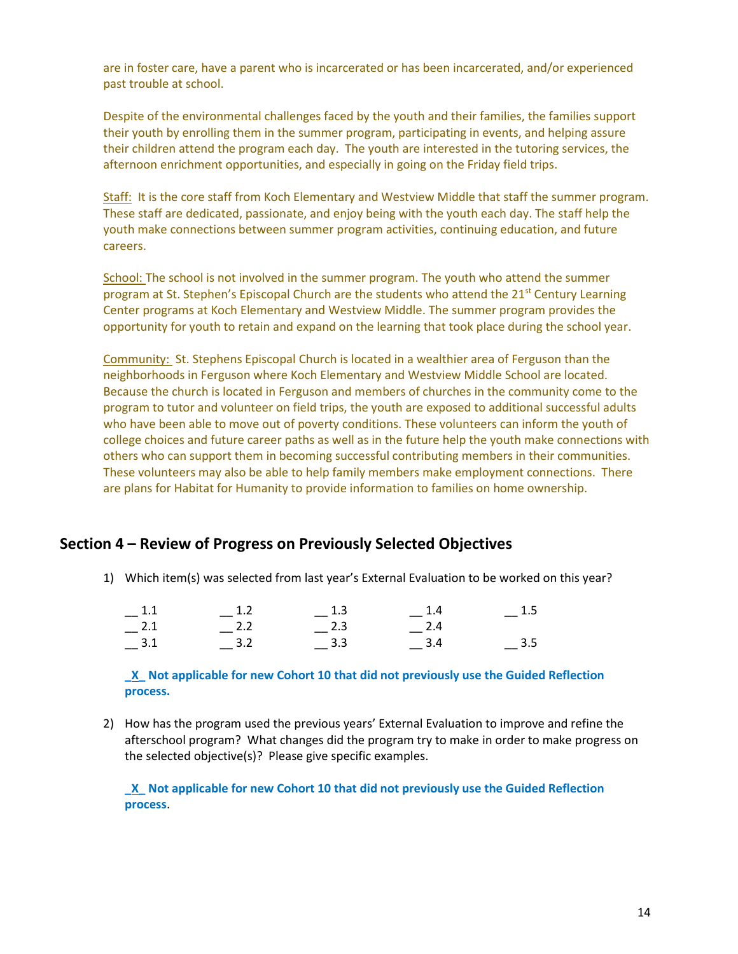are in foster care, have a parent who is incarcerated or has been incarcerated, and/or experienced past trouble at school.

Despite of the environmental challenges faced by the youth and their families, the families support their youth by enrolling them in the summer program, participating in events, and helping assure their children attend the program each day. The youth are interested in the tutoring services, the afternoon enrichment opportunities, and especially in going on the Friday field trips.

Staff: It is the core staff from Koch Elementary and Westview Middle that staff the summer program. These staff are dedicated, passionate, and enjoy being with the youth each day. The staff help the youth make connections between summer program activities, continuing education, and future careers.

School: The school is not involved in the summer program. The youth who attend the summer program at St. Stephen's Episcopal Church are the students who attend the  $21^{st}$  Century Learning Center programs at Koch Elementary and Westview Middle. The summer program provides the opportunity for youth to retain and expand on the learning that took place during the school year.

Community: St. Stephens Episcopal Church is located in a wealthier area of Ferguson than the neighborhoods in Ferguson where Koch Elementary and Westview Middle School are located. Because the church is located in Ferguson and members of churches in the community come to the program to tutor and volunteer on field trips, the youth are exposed to additional successful adults who have been able to move out of poverty conditions. These volunteers can inform the youth of college choices and future career paths as well as in the future help the youth make connections with others who can support them in becoming successful contributing members in their communities. These volunteers may also be able to help family members make employment connections. There are plans for Habitat for Humanity to provide information to families on home ownership.

## **Section 4 – Review of Progress on Previously Selected Objectives**

1) Which item(s) was selected from last year's External Evaluation to be worked on this year?

| $-$ 1.5 | $-1.4$      | $-^{1.3}$   | $-$ 1.2 | $-1.1$ |
|---------|-------------|-------------|---------|--------|
|         | $-{}^{2.4}$ | $-{}^{2.3}$ | $-$ 2.2 | $-2.1$ |
| $-$ 3.5 | $-$ 3.4     | $-$ 3.3     | $-$ 3.2 | $-3.1$ |

**\_X\_ Not applicable for new Cohort 10 that did not previously use the Guided Reflection process.**

2) How has the program used the previous years' External Evaluation to improve and refine the afterschool program? What changes did the program try to make in order to make progress on the selected objective(s)? Please give specific examples.

**\_X\_ Not applicable for new Cohort 10 that did not previously use the Guided Reflection process**.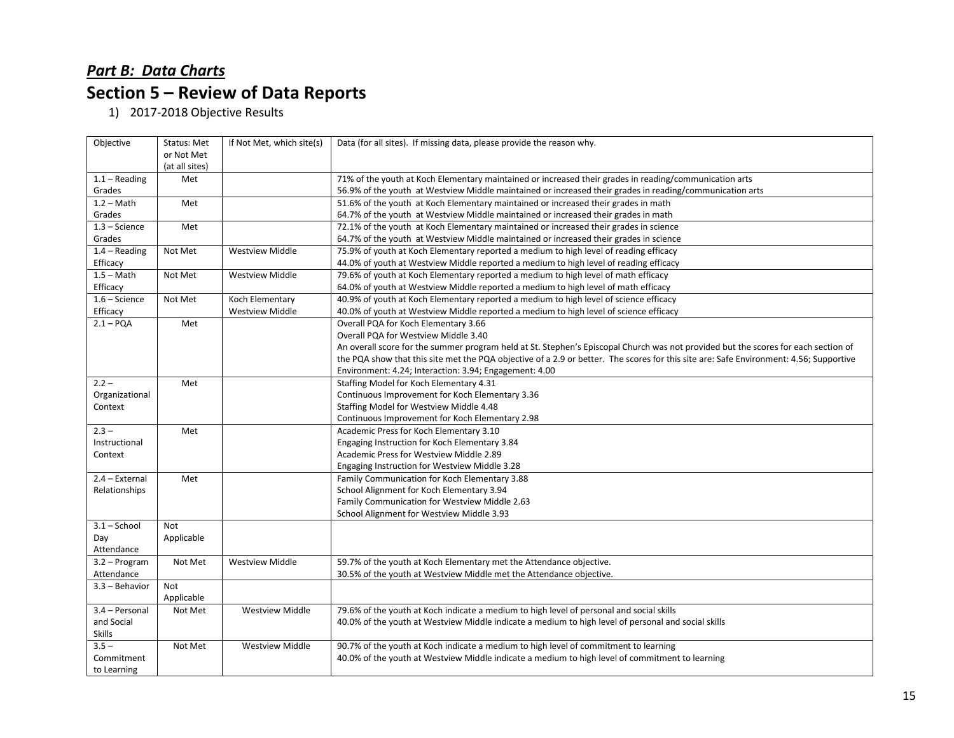# *Part B: Data Charts* **Section 5 – Review of Data Reports**

1) 2017-2018 Objective Results

| Objective        | Status: Met    | If Not Met, which site(s) | Data (for all sites). If missing data, please provide the reason why.                                                                  |
|------------------|----------------|---------------------------|----------------------------------------------------------------------------------------------------------------------------------------|
|                  | or Not Met     |                           |                                                                                                                                        |
|                  | (at all sites) |                           |                                                                                                                                        |
| $1.1 - Reading$  | Met            |                           | 71% of the youth at Koch Elementary maintained or increased their grades in reading/communication arts                                 |
| Grades           |                |                           | 56.9% of the youth at Westview Middle maintained or increased their grades in reading/communication arts                               |
| $1.2 - Math$     | Met            |                           | 51.6% of the youth at Koch Elementary maintained or increased their grades in math                                                     |
| Grades           |                |                           | 64.7% of the youth at Westview Middle maintained or increased their grades in math                                                     |
| $1.3 - Science$  | Met            |                           | 72.1% of the youth at Koch Elementary maintained or increased their grades in science                                                  |
| Grades           |                |                           | 64.7% of the youth at Westview Middle maintained or increased their grades in science                                                  |
| $1.4 - Reading$  | Not Met        | <b>Westview Middle</b>    | 75.9% of youth at Koch Elementary reported a medium to high level of reading efficacy                                                  |
| Efficacy         |                |                           | 44.0% of youth at Westview Middle reported a medium to high level of reading efficacy                                                  |
| $1.5 - Math$     | Not Met        | <b>Westview Middle</b>    | 79.6% of youth at Koch Elementary reported a medium to high level of math efficacy                                                     |
| Efficacy         |                |                           | 64.0% of youth at Westview Middle reported a medium to high level of math efficacy                                                     |
| $1.6 - Science$  | Not Met        | Koch Elementary           | 40.9% of youth at Koch Elementary reported a medium to high level of science efficacy                                                  |
| Efficacy         |                | <b>Westview Middle</b>    | 40.0% of youth at Westview Middle reported a medium to high level of science efficacy                                                  |
| $2.1 - PQA$      | Met            |                           | Overall PQA for Koch Elementary 3.66                                                                                                   |
|                  |                |                           | Overall PQA for Westview Middle 3.40                                                                                                   |
|                  |                |                           | An overall score for the summer program held at St. Stephen's Episcopal Church was not provided but the scores for each section of     |
|                  |                |                           | the PQA show that this site met the PQA objective of a 2.9 or better. The scores for this site are: Safe Environment: 4.56; Supportive |
|                  |                |                           | Environment: 4.24; Interaction: 3.94; Engagement: 4.00                                                                                 |
| $2.2 -$          | Met            |                           | Staffing Model for Koch Elementary 4.31                                                                                                |
| Organizational   |                |                           | Continuous Improvement for Koch Elementary 3.36                                                                                        |
| Context          |                |                           | Staffing Model for Westview Middle 4.48                                                                                                |
|                  |                |                           | Continuous Improvement for Koch Elementary 2.98                                                                                        |
| $2.3 -$          | Met            |                           | Academic Press for Koch Elementary 3.10                                                                                                |
| Instructional    |                |                           | Engaging Instruction for Koch Elementary 3.84                                                                                          |
| Context          |                |                           | Academic Press for Westview Middle 2.89                                                                                                |
|                  |                |                           | Engaging Instruction for Westview Middle 3.28                                                                                          |
| 2.4 - External   | Met            |                           | Family Communication for Koch Elementary 3.88                                                                                          |
| Relationships    |                |                           | School Alignment for Koch Elementary 3.94                                                                                              |
|                  |                |                           | Family Communication for Westview Middle 2.63                                                                                          |
|                  |                |                           | School Alignment for Westview Middle 3.93                                                                                              |
| $3.1 -$ School   | <b>Not</b>     |                           |                                                                                                                                        |
| Day              | Applicable     |                           |                                                                                                                                        |
| Attendance       |                |                           |                                                                                                                                        |
| 3.2 - Program    | Not Met        | <b>Westview Middle</b>    | 59.7% of the youth at Koch Elementary met the Attendance objective.                                                                    |
| Attendance       |                |                           | 30.5% of the youth at Westview Middle met the Attendance objective.                                                                    |
| $3.3 -$ Behavior | <b>Not</b>     |                           |                                                                                                                                        |
|                  | Applicable     |                           |                                                                                                                                        |
| 3.4 - Personal   | Not Met        | <b>Westview Middle</b>    | 79.6% of the youth at Koch indicate a medium to high level of personal and social skills                                               |
| and Social       |                |                           | 40.0% of the youth at Westview Middle indicate a medium to high level of personal and social skills                                    |
| Skills           |                |                           |                                                                                                                                        |
| $3.5 -$          | Not Met        | <b>Westview Middle</b>    | 90.7% of the youth at Koch indicate a medium to high level of commitment to learning                                                   |
| Commitment       |                |                           | 40.0% of the youth at Westview Middle indicate a medium to high level of commitment to learning                                        |
| to Learning      |                |                           |                                                                                                                                        |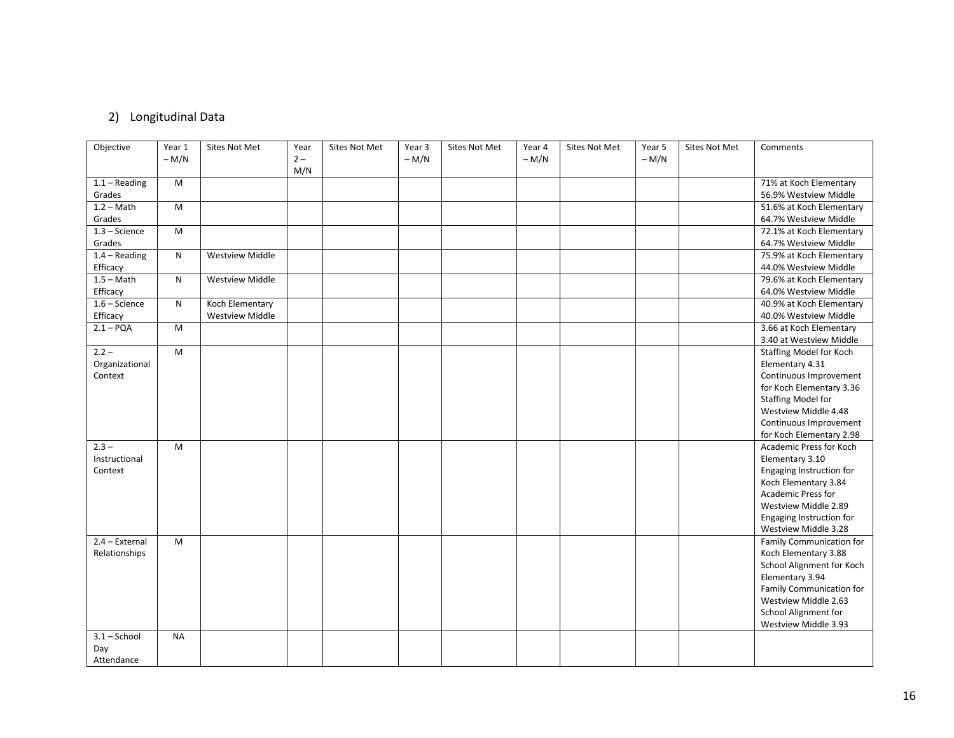# 2) Longitudinal Data

| Objective        | Year 1    | Sites Not Met          | Year  | Sites Not Met | Year 3 | Sites Not Met | Year 4 | <b>Sites Not Met</b> | Year 5 | Sites Not Met | Comments                  |
|------------------|-----------|------------------------|-------|---------------|--------|---------------|--------|----------------------|--------|---------------|---------------------------|
|                  | $-M/N$    |                        | $2 -$ |               | $-M/N$ |               | $-M/N$ |                      | $-M/N$ |               |                           |
|                  |           |                        | M/N   |               |        |               |        |                      |        |               |                           |
| $1.1 - Reading$  | M         |                        |       |               |        |               |        |                      |        |               | 71% at Koch Elementary    |
| Grades           |           |                        |       |               |        |               |        |                      |        |               | 56.9% Westview Middle     |
| $1.2 - Math$     | M         |                        |       |               |        |               |        |                      |        |               | 51.6% at Koch Elementary  |
| Grades           |           |                        |       |               |        |               |        |                      |        |               | 64.7% Westview Middle     |
| $1.3 - Science$  | M         |                        |       |               |        |               |        |                      |        |               | 72.1% at Koch Elementary  |
| Grades           |           |                        |       |               |        |               |        |                      |        |               | 64.7% Westview Middle     |
| $1.4 - Reading$  | N         | <b>Westview Middle</b> |       |               |        |               |        |                      |        |               | 75.9% at Koch Elementary  |
| Efficacy         |           |                        |       |               |        |               |        |                      |        |               | 44.0% Westview Middle     |
| $1.5 - Math$     | N         | <b>Westview Middle</b> |       |               |        |               |        |                      |        |               | 79.6% at Koch Elementary  |
| Efficacy         |           |                        |       |               |        |               |        |                      |        |               | 64.0% Westview Middle     |
| $1.6 - Science$  | N         | Koch Elementary        |       |               |        |               |        |                      |        |               | 40.9% at Koch Elementary  |
| Efficacy         |           | <b>Westview Middle</b> |       |               |        |               |        |                      |        |               | 40.0% Westview Middle     |
| $2.1 - PQA$      | M         |                        |       |               |        |               |        |                      |        |               | 3.66 at Koch Elementary   |
|                  |           |                        |       |               |        |               |        |                      |        |               | 3.40 at Westview Middle   |
| $2.2 -$          | M         |                        |       |               |        |               |        |                      |        |               | Staffing Model for Koch   |
| Organizational   |           |                        |       |               |        |               |        |                      |        |               | Elementary 4.31           |
| Context          |           |                        |       |               |        |               |        |                      |        |               | Continuous Improvement    |
|                  |           |                        |       |               |        |               |        |                      |        |               | for Koch Elementary 3.36  |
|                  |           |                        |       |               |        |               |        |                      |        |               | <b>Staffing Model for</b> |
|                  |           |                        |       |               |        |               |        |                      |        |               | Westview Middle 4.48      |
|                  |           |                        |       |               |        |               |        |                      |        |               | Continuous Improvement    |
|                  |           |                        |       |               |        |               |        |                      |        |               | for Koch Elementary 2.98  |
| $2.3 -$          | M         |                        |       |               |        |               |        |                      |        |               | Academic Press for Koch   |
| Instructional    |           |                        |       |               |        |               |        |                      |        |               | Elementary 3.10           |
| Context          |           |                        |       |               |        |               |        |                      |        |               | Engaging Instruction for  |
|                  |           |                        |       |               |        |               |        |                      |        |               | Koch Elementary 3.84      |
|                  |           |                        |       |               |        |               |        |                      |        |               | Academic Press for        |
|                  |           |                        |       |               |        |               |        |                      |        |               | Westview Middle 2.89      |
|                  |           |                        |       |               |        |               |        |                      |        |               | Engaging Instruction for  |
|                  |           |                        |       |               |        |               |        |                      |        |               | Westview Middle 3.28      |
| $2.4 - External$ | M         |                        |       |               |        |               |        |                      |        |               | Family Communication for  |
| Relationships    |           |                        |       |               |        |               |        |                      |        |               | Koch Elementary 3.88      |
|                  |           |                        |       |               |        |               |        |                      |        |               | School Alignment for Koch |
|                  |           |                        |       |               |        |               |        |                      |        |               | Elementary 3.94           |
|                  |           |                        |       |               |        |               |        |                      |        |               | Family Communication for  |
|                  |           |                        |       |               |        |               |        |                      |        |               | Westview Middle 2.63      |
|                  |           |                        |       |               |        |               |        |                      |        |               | School Alignment for      |
|                  |           |                        |       |               |        |               |        |                      |        |               | Westview Middle 3.93      |
| $3.1 -$ School   | <b>NA</b> |                        |       |               |        |               |        |                      |        |               |                           |
| Day              |           |                        |       |               |        |               |        |                      |        |               |                           |
| Attendance       |           |                        |       |               |        |               |        |                      |        |               |                           |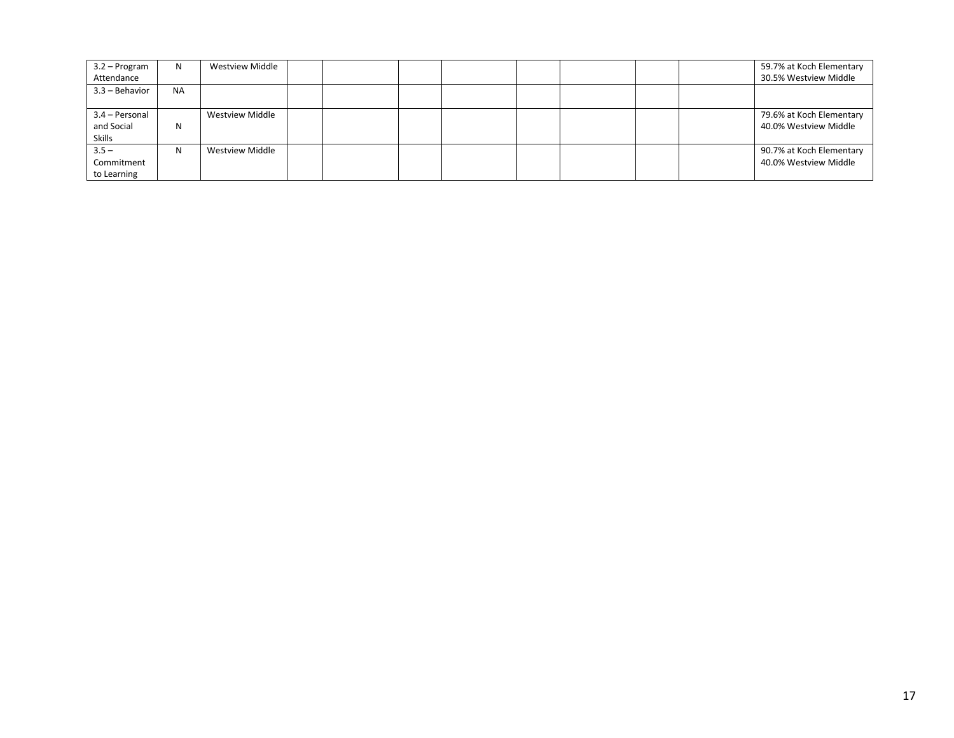| 3.2 – Program    | N.        | <b>Westview Middle</b> |  |  |  |  | 59.7% at Koch Elementary |
|------------------|-----------|------------------------|--|--|--|--|--------------------------|
| Attendance       |           |                        |  |  |  |  | 30.5% Westview Middle    |
| $3.3 -$ Behavior | <b>NA</b> |                        |  |  |  |  |                          |
| 3.4 - Personal   |           | Westview Middle        |  |  |  |  | 79.6% at Koch Elementary |
| and Social       | N         |                        |  |  |  |  | 40.0% Westview Middle    |
| Skills           |           |                        |  |  |  |  |                          |
| $3.5 -$          | N         | <b>Westview Middle</b> |  |  |  |  | 90.7% at Koch Elementary |
| Commitment       |           |                        |  |  |  |  | 40.0% Westview Middle    |
| to Learning      |           |                        |  |  |  |  |                          |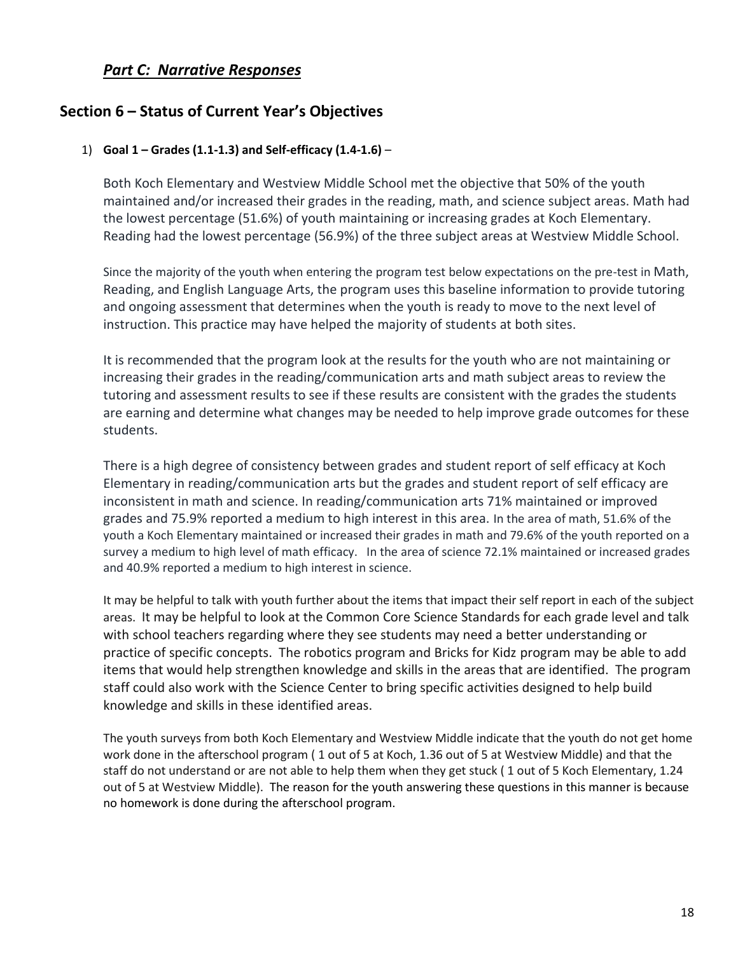# *Part C: Narrative Responses*

# **Section 6 – Status of Current Year's Objectives**

#### 1) **Goal 1 – Grades (1.1-1.3) and Self-efficacy (1.4-1.6)** –

Both Koch Elementary and Westview Middle School met the objective that 50% of the youth maintained and/or increased their grades in the reading, math, and science subject areas. Math had the lowest percentage (51.6%) of youth maintaining or increasing grades at Koch Elementary. Reading had the lowest percentage (56.9%) of the three subject areas at Westview Middle School.

Since the majority of the youth when entering the program test below expectations on the pre-test in Math, Reading, and English Language Arts, the program uses this baseline information to provide tutoring and ongoing assessment that determines when the youth is ready to move to the next level of instruction. This practice may have helped the majority of students at both sites.

It is recommended that the program look at the results for the youth who are not maintaining or increasing their grades in the reading/communication arts and math subject areas to review the tutoring and assessment results to see if these results are consistent with the grades the students are earning and determine what changes may be needed to help improve grade outcomes for these students.

There is a high degree of consistency between grades and student report of self efficacy at Koch Elementary in reading/communication arts but the grades and student report of self efficacy are inconsistent in math and science. In reading/communication arts 71% maintained or improved grades and 75.9% reported a medium to high interest in this area. In the area of math, 51.6% of the youth a Koch Elementary maintained or increased their grades in math and 79.6% of the youth reported on a survey a medium to high level of math efficacy. In the area of science 72.1% maintained or increased grades and 40.9% reported a medium to high interest in science.

It may be helpful to talk with youth further about the items that impact their self report in each of the subject areas. It may be helpful to look at the Common Core Science Standards for each grade level and talk with school teachers regarding where they see students may need a better understanding or practice of specific concepts. The robotics program and Bricks for Kidz program may be able to add items that would help strengthen knowledge and skills in the areas that are identified. The program staff could also work with the Science Center to bring specific activities designed to help build knowledge and skills in these identified areas.

The youth surveys from both Koch Elementary and Westview Middle indicate that the youth do not get home work done in the afterschool program ( 1 out of 5 at Koch, 1.36 out of 5 at Westview Middle) and that the staff do not understand or are not able to help them when they get stuck ( 1 out of 5 Koch Elementary, 1.24 out of 5 at Westview Middle). The reason for the youth answering these questions in this manner is because no homework is done during the afterschool program.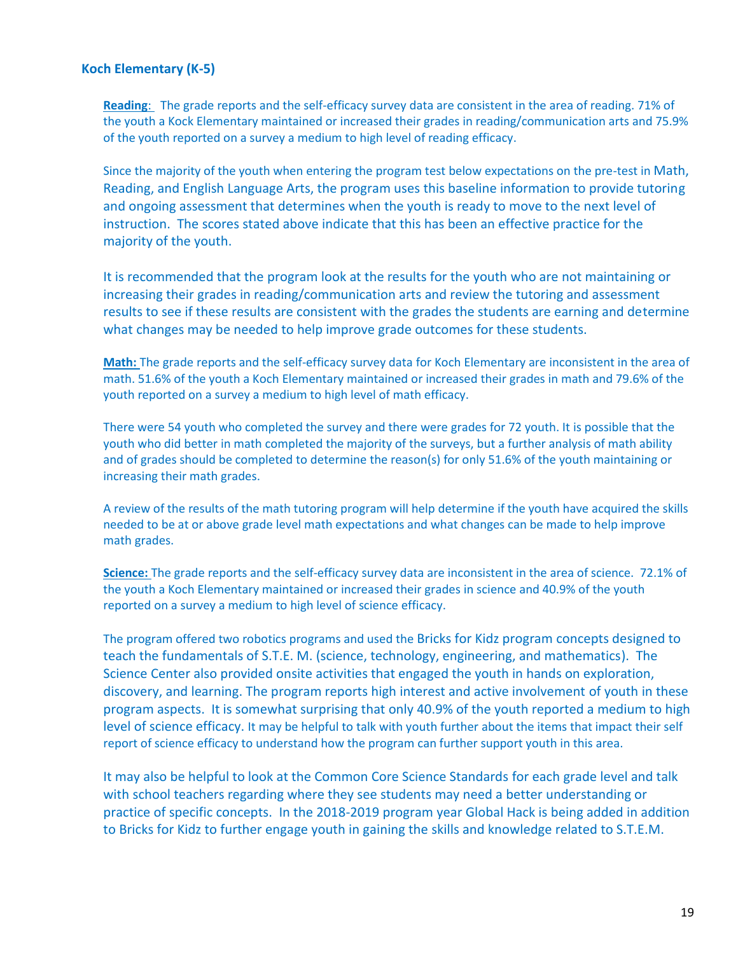#### **Koch Elementary (K-5)**

**Reading**: The grade reports and the self-efficacy survey data are consistent in the area of reading. 71% of the youth a Kock Elementary maintained or increased their grades in reading/communication arts and 75.9% of the youth reported on a survey a medium to high level of reading efficacy.

Since the majority of the youth when entering the program test below expectations on the pre-test in Math, Reading, and English Language Arts, the program uses this baseline information to provide tutoring and ongoing assessment that determines when the youth is ready to move to the next level of instruction. The scores stated above indicate that this has been an effective practice for the majority of the youth.

It is recommended that the program look at the results for the youth who are not maintaining or increasing their grades in reading/communication arts and review the tutoring and assessment results to see if these results are consistent with the grades the students are earning and determine what changes may be needed to help improve grade outcomes for these students.

**Math:** The grade reports and the self-efficacy survey data for Koch Elementary are inconsistent in the area of math. 51.6% of the youth a Koch Elementary maintained or increased their grades in math and 79.6% of the youth reported on a survey a medium to high level of math efficacy.

There were 54 youth who completed the survey and there were grades for 72 youth. It is possible that the youth who did better in math completed the majority of the surveys, but a further analysis of math ability and of grades should be completed to determine the reason(s) for only 51.6% of the youth maintaining or increasing their math grades.

A review of the results of the math tutoring program will help determine if the youth have acquired the skills needed to be at or above grade level math expectations and what changes can be made to help improve math grades.

**Science:** The grade reports and the self-efficacy survey data are inconsistent in the area of science. 72.1% of the youth a Koch Elementary maintained or increased their grades in science and 40.9% of the youth reported on a survey a medium to high level of science efficacy.

The program offered two robotics programs and used the Bricks for Kidz program concepts designed to teach the fundamentals of S.T.E. M. (science, technology, engineering, and mathematics). The Science Center also provided onsite activities that engaged the youth in hands on exploration, discovery, and learning. The program reports high interest and active involvement of youth in these program aspects. It is somewhat surprising that only 40.9% of the youth reported a medium to high level of science efficacy. It may be helpful to talk with youth further about the items that impact their self report of science efficacy to understand how the program can further support youth in this area.

It may also be helpful to look at the Common Core Science Standards for each grade level and talk with school teachers regarding where they see students may need a better understanding or practice of specific concepts. In the 2018-2019 program year Global Hack is being added in addition to Bricks for Kidz to further engage youth in gaining the skills and knowledge related to S.T.E.M.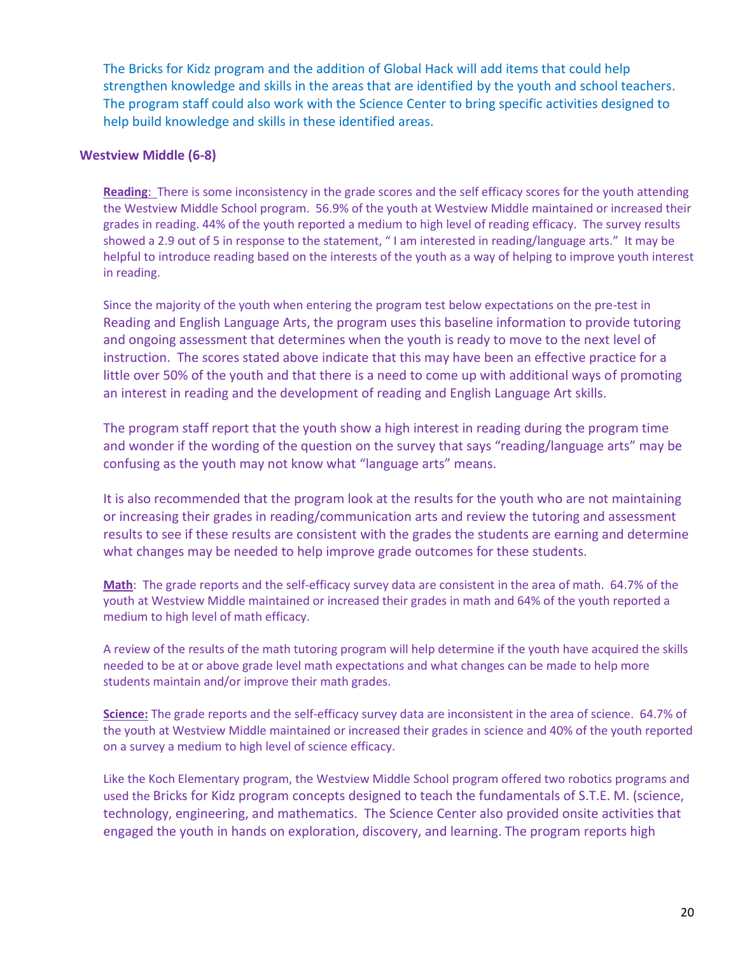The Bricks for Kidz program and the addition of Global Hack will add items that could help strengthen knowledge and skills in the areas that are identified by the youth and school teachers. The program staff could also work with the Science Center to bring specific activities designed to help build knowledge and skills in these identified areas.

#### **Westview Middle (6-8)**

**Reading**: There is some inconsistency in the grade scores and the self efficacy scores for the youth attending the Westview Middle School program. 56.9% of the youth at Westview Middle maintained or increased their grades in reading. 44% of the youth reported a medium to high level of reading efficacy. The survey results showed a 2.9 out of 5 in response to the statement, " I am interested in reading/language arts." It may be helpful to introduce reading based on the interests of the youth as a way of helping to improve youth interest in reading.

Since the majority of the youth when entering the program test below expectations on the pre-test in Reading and English Language Arts, the program uses this baseline information to provide tutoring and ongoing assessment that determines when the youth is ready to move to the next level of instruction. The scores stated above indicate that this may have been an effective practice for a little over 50% of the youth and that there is a need to come up with additional ways of promoting an interest in reading and the development of reading and English Language Art skills.

The program staff report that the youth show a high interest in reading during the program time and wonder if the wording of the question on the survey that says "reading/language arts" may be confusing as the youth may not know what "language arts" means.

It is also recommended that the program look at the results for the youth who are not maintaining or increasing their grades in reading/communication arts and review the tutoring and assessment results to see if these results are consistent with the grades the students are earning and determine what changes may be needed to help improve grade outcomes for these students.

**Math**: The grade reports and the self-efficacy survey data are consistent in the area of math. 64.7% of the youth at Westview Middle maintained or increased their grades in math and 64% of the youth reported a medium to high level of math efficacy.

A review of the results of the math tutoring program will help determine if the youth have acquired the skills needed to be at or above grade level math expectations and what changes can be made to help more students maintain and/or improve their math grades.

**Science:** The grade reports and the self-efficacy survey data are inconsistent in the area of science. 64.7% of the youth at Westview Middle maintained or increased their grades in science and 40% of the youth reported on a survey a medium to high level of science efficacy.

Like the Koch Elementary program, the Westview Middle School program offered two robotics programs and used the Bricks for Kidz program concepts designed to teach the fundamentals of S.T.E. M. (science, technology, engineering, and mathematics. The Science Center also provided onsite activities that engaged the youth in hands on exploration, discovery, and learning. The program reports high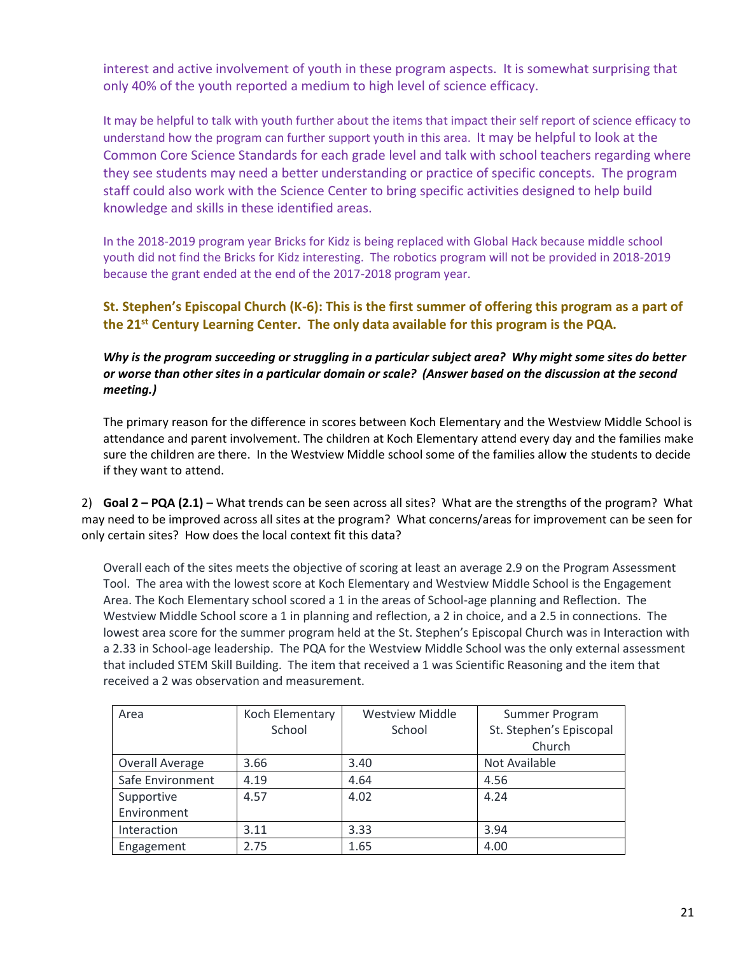interest and active involvement of youth in these program aspects. It is somewhat surprising that only 40% of the youth reported a medium to high level of science efficacy.

It may be helpful to talk with youth further about the items that impact their self report of science efficacy to understand how the program can further support youth in this area. It may be helpful to look at the Common Core Science Standards for each grade level and talk with school teachers regarding where they see students may need a better understanding or practice of specific concepts. The program staff could also work with the Science Center to bring specific activities designed to help build knowledge and skills in these identified areas.

In the 2018-2019 program year Bricks for Kidz is being replaced with Global Hack because middle school youth did not find the Bricks for Kidz interesting. The robotics program will not be provided in 2018-2019 because the grant ended at the end of the 2017-2018 program year.

### **St. Stephen's Episcopal Church (K-6): This is the first summer of offering this program as a part of the 21st Century Learning Center. The only data available for this program is the PQA.**

#### *Why is the program succeeding or struggling in a particular subject area? Why might some sites do better or worse than other sites in a particular domain or scale? (Answer based on the discussion at the second meeting.)*

The primary reason for the difference in scores between Koch Elementary and the Westview Middle School is attendance and parent involvement. The children at Koch Elementary attend every day and the families make sure the children are there. In the Westview Middle school some of the families allow the students to decide if they want to attend.

2) **Goal 2 – PQA (2.1)** – What trends can be seen across all sites? What are the strengths of the program? What may need to be improved across all sites at the program? What concerns/areas for improvement can be seen for only certain sites? How does the local context fit this data?

Overall each of the sites meets the objective of scoring at least an average 2.9 on the Program Assessment Tool. The area with the lowest score at Koch Elementary and Westview Middle School is the Engagement Area. The Koch Elementary school scored a 1 in the areas of School-age planning and Reflection. The Westview Middle School score a 1 in planning and reflection, a 2 in choice, and a 2.5 in connections. The lowest area score for the summer program held at the St. Stephen's Episcopal Church was in Interaction with a 2.33 in School-age leadership. The PQA for the Westview Middle School was the only external assessment that included STEM Skill Building. The item that received a 1 was Scientific Reasoning and the item that received a 2 was observation and measurement.

| Area             | Koch Elementary | <b>Westview Middle</b> | Summer Program          |
|------------------|-----------------|------------------------|-------------------------|
|                  | School          | School                 | St. Stephen's Episcopal |
|                  |                 |                        | Church                  |
| Overall Average  | 3.66            | 3.40                   | Not Available           |
| Safe Environment | 4.19            | 4.64                   | 4.56                    |
| Supportive       | 4.57            | 4.02                   | 4.24                    |
| Environment      |                 |                        |                         |
| Interaction      | 3.11            | 3.33                   | 3.94                    |
| Engagement       | 2.75            | 1.65                   | 4.00                    |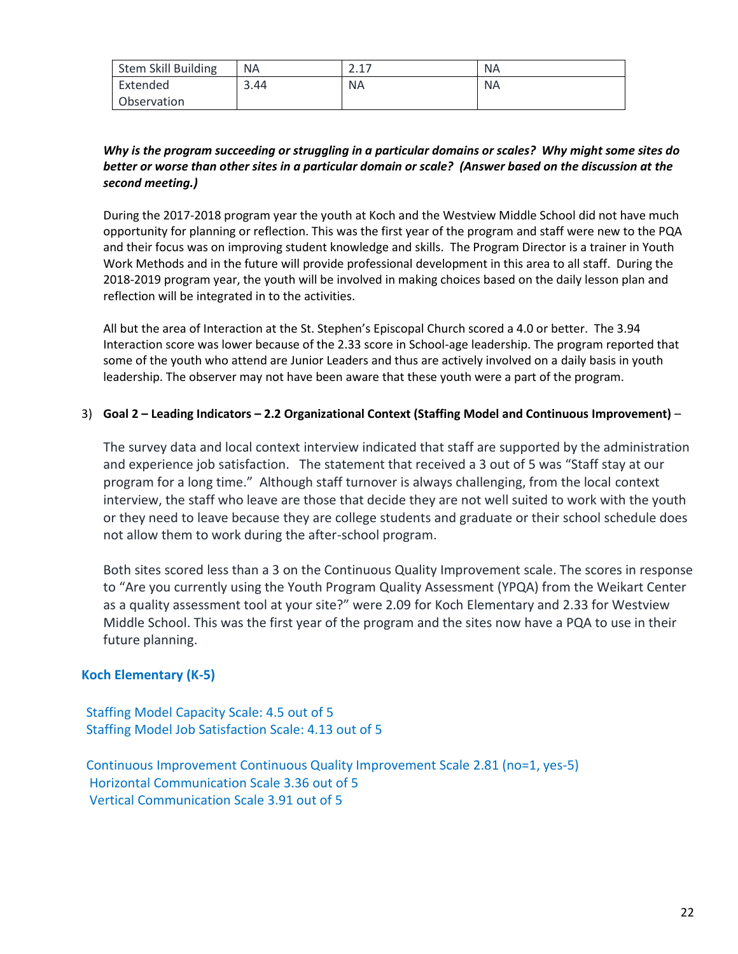| <b>Stem Skill Building</b> | <b>NA</b> | า 1 7     | <b>NA</b> |
|----------------------------|-----------|-----------|-----------|
| Extended                   | 3.44      | <b>NA</b> | <b>NA</b> |
| Observation                |           |           |           |

### *Why is the program succeeding or struggling in a particular domains or scales? Why might some sites do better or worse than other sites in a particular domain or scale? (Answer based on the discussion at the second meeting.)*

During the 2017-2018 program year the youth at Koch and the Westview Middle School did not have much opportunity for planning or reflection. This was the first year of the program and staff were new to the PQA and their focus was on improving student knowledge and skills. The Program Director is a trainer in Youth Work Methods and in the future will provide professional development in this area to all staff. During the 2018-2019 program year, the youth will be involved in making choices based on the daily lesson plan and reflection will be integrated in to the activities.

All but the area of Interaction at the St. Stephen's Episcopal Church scored a 4.0 or better. The 3.94 Interaction score was lower because of the 2.33 score in School-age leadership. The program reported that some of the youth who attend are Junior Leaders and thus are actively involved on a daily basis in youth leadership. The observer may not have been aware that these youth were a part of the program.

#### 3) **Goal 2 – Leading Indicators – 2.2 Organizational Context (Staffing Model and Continuous Improvement)** –

The survey data and local context interview indicated that staff are supported by the administration and experience job satisfaction. The statement that received a 3 out of 5 was "Staff stay at our program for a long time." Although staff turnover is always challenging, from the local context interview, the staff who leave are those that decide they are not well suited to work with the youth or they need to leave because they are college students and graduate or their school schedule does not allow them to work during the after-school program.

Both sites scored less than a 3 on the Continuous Quality Improvement scale. The scores in response to "Are you currently using the Youth Program Quality Assessment (YPQA) from the Weikart Center as a quality assessment tool at your site?" were 2.09 for Koch Elementary and 2.33 for Westview Middle School. This was the first year of the program and the sites now have a PQA to use in their future planning.

#### **Koch Elementary (K-5)**

 Staffing Model Capacity Scale: 4.5 out of 5 Staffing Model Job Satisfaction Scale: 4.13 out of 5

 Continuous Improvement Continuous Quality Improvement Scale 2.81 (no=1, yes-5) Horizontal Communication Scale 3.36 out of 5 Vertical Communication Scale 3.91 out of 5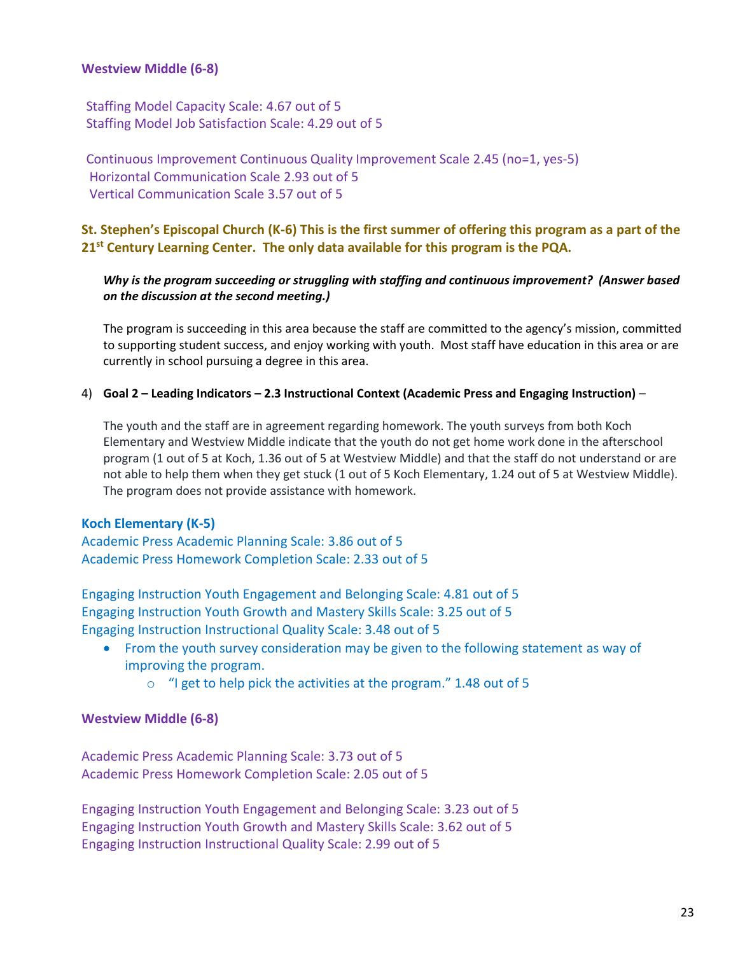### **Westview Middle (6-8)**

 Staffing Model Capacity Scale: 4.67 out of 5 Staffing Model Job Satisfaction Scale: 4.29 out of 5

 Continuous Improvement Continuous Quality Improvement Scale 2.45 (no=1, yes-5) Horizontal Communication Scale 2.93 out of 5 Vertical Communication Scale 3.57 out of 5

## **St. Stephen's Episcopal Church (K-6) This is the first summer of offering this program as a part of the 21st Century Learning Center. The only data available for this program is the PQA.**

#### *Why is the program succeeding or struggling with staffing and continuous improvement? (Answer based on the discussion at the second meeting.)*

The program is succeeding in this area because the staff are committed to the agency's mission, committed to supporting student success, and enjoy working with youth. Most staff have education in this area or are currently in school pursuing a degree in this area.

#### 4) **Goal 2 – Leading Indicators – 2.3 Instructional Context (Academic Press and Engaging Instruction)** –

The youth and the staff are in agreement regarding homework. The youth surveys from both Koch Elementary and Westview Middle indicate that the youth do not get home work done in the afterschool program (1 out of 5 at Koch, 1.36 out of 5 at Westview Middle) and that the staff do not understand or are not able to help them when they get stuck (1 out of 5 Koch Elementary, 1.24 out of 5 at Westview Middle). The program does not provide assistance with homework.

#### **Koch Elementary (K-5)**

Academic Press Academic Planning Scale: 3.86 out of 5 Academic Press Homework Completion Scale: 2.33 out of 5

Engaging Instruction Youth Engagement and Belonging Scale: 4.81 out of 5 Engaging Instruction Youth Growth and Mastery Skills Scale: 3.25 out of 5 Engaging Instruction Instructional Quality Scale: 3.48 out of 5

- From the youth survey consideration may be given to the following statement as way of improving the program.
	- o "I get to help pick the activities at the program." 1.48 out of 5

#### **Westview Middle (6-8)**

Academic Press Academic Planning Scale: 3.73 out of 5 Academic Press Homework Completion Scale: 2.05 out of 5

Engaging Instruction Youth Engagement and Belonging Scale: 3.23 out of 5 Engaging Instruction Youth Growth and Mastery Skills Scale: 3.62 out of 5 Engaging Instruction Instructional Quality Scale: 2.99 out of 5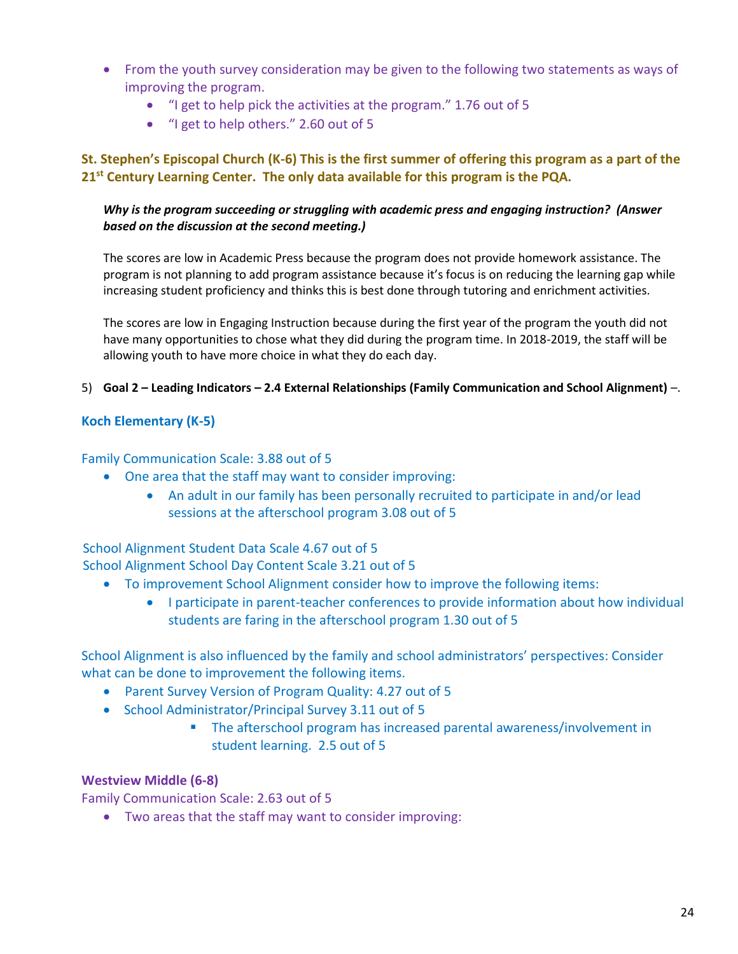- From the youth survey consideration may be given to the following two statements as ways of improving the program.
	- "I get to help pick the activities at the program." 1.76 out of 5
	- "I get to help others." 2.60 out of 5

## **St. Stephen's Episcopal Church (K-6) This is the first summer of offering this program as a part of the 21st Century Learning Center. The only data available for this program is the PQA.**

### *Why is the program succeeding or struggling with academic press and engaging instruction? (Answer based on the discussion at the second meeting.)*

The scores are low in Academic Press because the program does not provide homework assistance. The program is not planning to add program assistance because it's focus is on reducing the learning gap while increasing student proficiency and thinks this is best done through tutoring and enrichment activities.

The scores are low in Engaging Instruction because during the first year of the program the youth did not have many opportunities to chose what they did during the program time. In 2018-2019, the staff will be allowing youth to have more choice in what they do each day.

#### 5) **Goal 2 – Leading Indicators – 2.4 External Relationships (Family Communication and School Alignment)** –.

### **Koch Elementary (K-5)**

#### Family Communication Scale: 3.88 out of 5

- One area that the staff may want to consider improving:
	- An adult in our family has been personally recruited to participate in and/or lead sessions at the afterschool program 3.08 out of 5

#### School Alignment Student Data Scale 4.67 out of 5 School Alignment School Day Content Scale 3.21 out of 5

- To improvement School Alignment consider how to improve the following items:
	- I participate in parent-teacher conferences to provide information about how individual students are faring in the afterschool program 1.30 out of 5

School Alignment is also influenced by the family and school administrators' perspectives: Consider what can be done to improvement the following items.

- Parent Survey Version of Program Quality: 4.27 out of 5
- School Administrator/Principal Survey 3.11 out of 5
	- The afterschool program has increased parental awareness/involvement in student learning. 2.5 out of 5

#### **Westview Middle (6-8)**

Family Communication Scale: 2.63 out of 5

• Two areas that the staff may want to consider improving: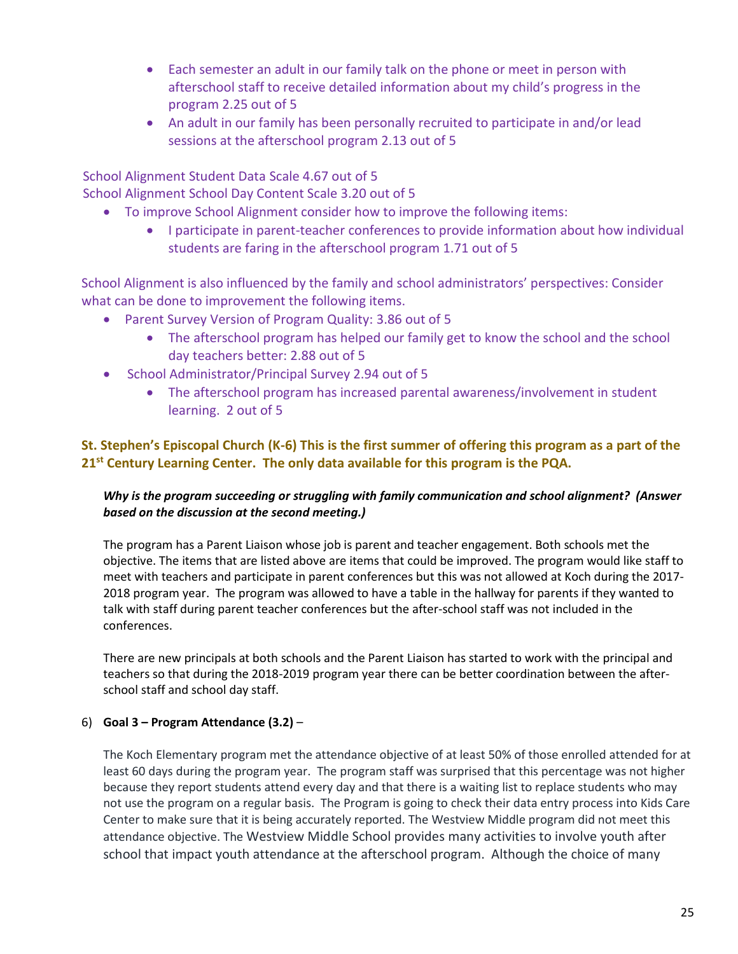- Each semester an adult in our family talk on the phone or meet in person with afterschool staff to receive detailed information about my child's progress in the program 2.25 out of 5
- An adult in our family has been personally recruited to participate in and/or lead sessions at the afterschool program 2.13 out of 5

 School Alignment Student Data Scale 4.67 out of 5 School Alignment School Day Content Scale 3.20 out of 5

- To improve School Alignment consider how to improve the following items:
	- I participate in parent-teacher conferences to provide information about how individual students are faring in the afterschool program 1.71 out of 5

School Alignment is also influenced by the family and school administrators' perspectives: Consider what can be done to improvement the following items.

- Parent Survey Version of Program Quality: 3.86 out of 5
	- The afterschool program has helped our family get to know the school and the school day teachers better: 2.88 out of 5
- School Administrator/Principal Survey 2.94 out of 5
	- The afterschool program has increased parental awareness/involvement in student learning. 2 out of 5

# **St. Stephen's Episcopal Church (K-6) This is the first summer of offering this program as a part of the 21st Century Learning Center. The only data available for this program is the PQA.**

## *Why is the program succeeding or struggling with family communication and school alignment? (Answer based on the discussion at the second meeting.)*

The program has a Parent Liaison whose job is parent and teacher engagement. Both schools met the objective. The items that are listed above are items that could be improved. The program would like staff to meet with teachers and participate in parent conferences but this was not allowed at Koch during the 2017- 2018 program year. The program was allowed to have a table in the hallway for parents if they wanted to talk with staff during parent teacher conferences but the after-school staff was not included in the conferences.

There are new principals at both schools and the Parent Liaison has started to work with the principal and teachers so that during the 2018-2019 program year there can be better coordination between the afterschool staff and school day staff.

## 6) **Goal 3 – Program Attendance (3.2)** –

The Koch Elementary program met the attendance objective of at least 50% of those enrolled attended for at least 60 days during the program year. The program staff was surprised that this percentage was not higher because they report students attend every day and that there is a waiting list to replace students who may not use the program on a regular basis. The Program is going to check their data entry process into Kids Care Center to make sure that it is being accurately reported. The Westview Middle program did not meet this attendance objective. The Westview Middle School provides many activities to involve youth after school that impact youth attendance at the afterschool program. Although the choice of many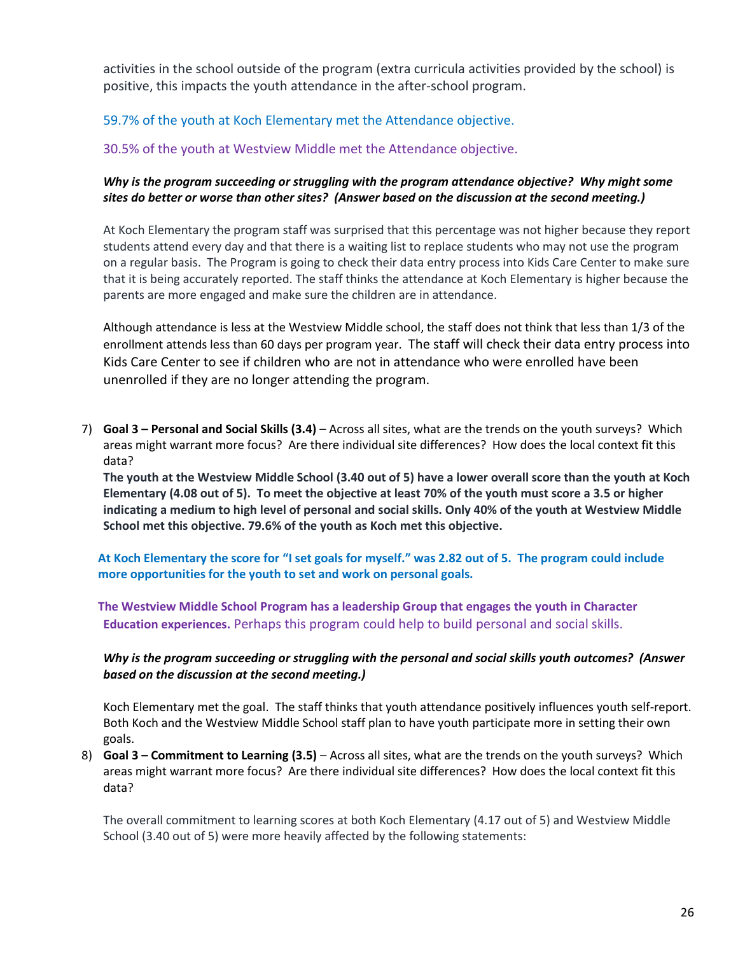activities in the school outside of the program (extra curricula activities provided by the school) is positive, this impacts the youth attendance in the after-school program.

## 59.7% of the youth at Koch Elementary met the Attendance objective.

30.5% of the youth at Westview Middle met the Attendance objective.

### *Why is the program succeeding or struggling with the program attendance objective? Why might some sites do better or worse than other sites? (Answer based on the discussion at the second meeting.)*

At Koch Elementary the program staff was surprised that this percentage was not higher because they report students attend every day and that there is a waiting list to replace students who may not use the program on a regular basis. The Program is going to check their data entry process into Kids Care Center to make sure that it is being accurately reported. The staff thinks the attendance at Koch Elementary is higher because the parents are more engaged and make sure the children are in attendance.

Although attendance is less at the Westview Middle school, the staff does not think that less than 1/3 of the enrollment attends less than 60 days per program year. The staff will check their data entry process into Kids Care Center to see if children who are not in attendance who were enrolled have been unenrolled if they are no longer attending the program.

7) **Goal 3 – Personal and Social Skills (3.4)** – Across all sites, what are the trends on the youth surveys? Which areas might warrant more focus? Are there individual site differences? How does the local context fit this data?

**The youth at the Westview Middle School (3.40 out of 5) have a lower overall score than the youth at Koch Elementary (4.08 out of 5). To meet the objective at least 70% of the youth must score a 3.5 or higher indicating a medium to high level of personal and social skills. Only 40% of the youth at Westview Middle School met this objective. 79.6% of the youth as Koch met this objective.** 

**At Koch Elementary the score for "I set goals for myself." was 2.82 out of 5. The program could include more opportunities for the youth to set and work on personal goals.**

**The Westview Middle School Program has a leadership Group that engages the youth in Character Education experiences.** Perhaps this program could help to build personal and social skills.

#### *Why is the program succeeding or struggling with the personal and social skills youth outcomes? (Answer based on the discussion at the second meeting.)*

Koch Elementary met the goal. The staff thinks that youth attendance positively influences youth self-report. Both Koch and the Westview Middle School staff plan to have youth participate more in setting their own goals.

8) **Goal 3 – Commitment to Learning (3.5)** – Across all sites, what are the trends on the youth surveys? Which areas might warrant more focus? Are there individual site differences? How does the local context fit this data?

The overall commitment to learning scores at both Koch Elementary (4.17 out of 5) and Westview Middle School (3.40 out of 5) were more heavily affected by the following statements: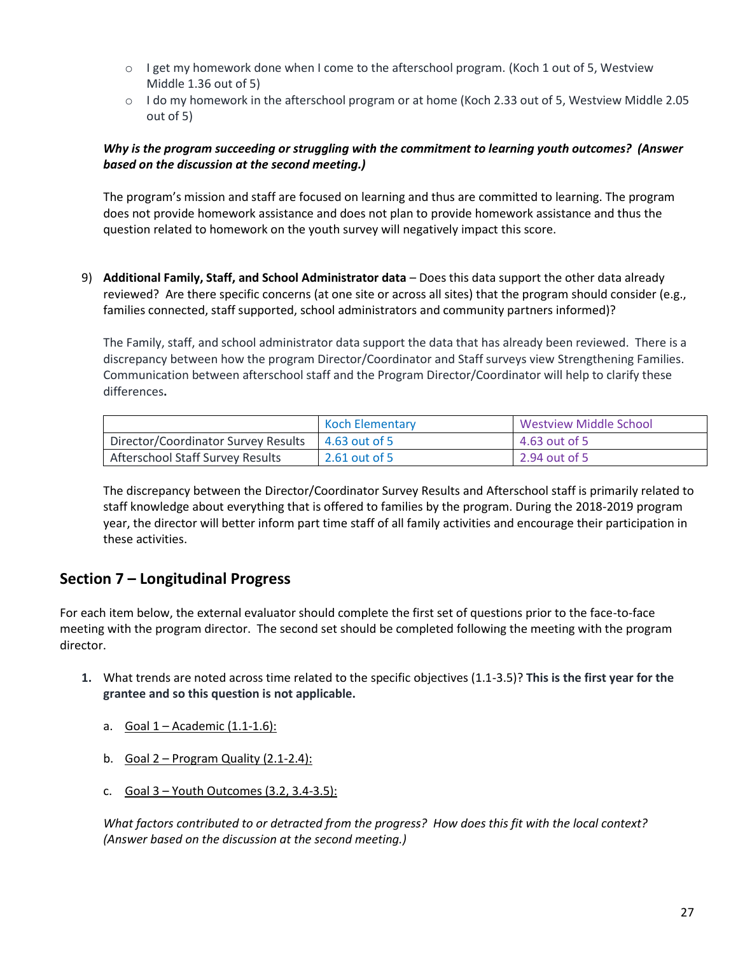- $\circ$  I get my homework done when I come to the afterschool program. (Koch 1 out of 5, Westview Middle 1.36 out of 5)
- o I do my homework in the afterschool program or at home (Koch 2.33 out of 5, Westview Middle 2.05 out of 5)

#### *Why is the program succeeding or struggling with the commitment to learning youth outcomes? (Answer based on the discussion at the second meeting.)*

The program's mission and staff are focused on learning and thus are committed to learning. The program does not provide homework assistance and does not plan to provide homework assistance and thus the question related to homework on the youth survey will negatively impact this score.

9) **Additional Family, Staff, and School Administrator data** – Does this data support the other data already reviewed? Are there specific concerns (at one site or across all sites) that the program should consider (e.g., families connected, staff supported, school administrators and community partners informed)?

The Family, staff, and school administrator data support the data that has already been reviewed. There is a discrepancy between how the program Director/Coordinator and Staff surveys view Strengthening Families. Communication between afterschool staff and the Program Director/Coordinator will help to clarify these differences**.** 

|                                     | <b>Koch Elementary</b> | <b>Westview Middle School</b> |
|-------------------------------------|------------------------|-------------------------------|
| Director/Coordinator Survey Results | 4.63 out of 5          | 4.63 out of 5                 |
| Afterschool Staff Survey Results    | 2.61 out of 5          | 2.94 out of 5                 |

The discrepancy between the Director/Coordinator Survey Results and Afterschool staff is primarily related to staff knowledge about everything that is offered to families by the program. During the 2018-2019 program year, the director will better inform part time staff of all family activities and encourage their participation in these activities.

# **Section 7 – Longitudinal Progress**

For each item below, the external evaluator should complete the first set of questions prior to the face-to-face meeting with the program director. The second set should be completed following the meeting with the program director.

- **1.** What trends are noted across time related to the specific objectives (1.1-3.5)? **This is the first year for the grantee and so this question is not applicable.**
	- a. Goal 1 Academic (1.1-1.6):
	- b. Goal  $2$  Program Quality (2.1-2.4):
	- c. Goal  $3 -$  Youth Outcomes  $(3.2, 3.4-3.5)$ :

*What factors contributed to or detracted from the progress? How does this fit with the local context? (Answer based on the discussion at the second meeting.)*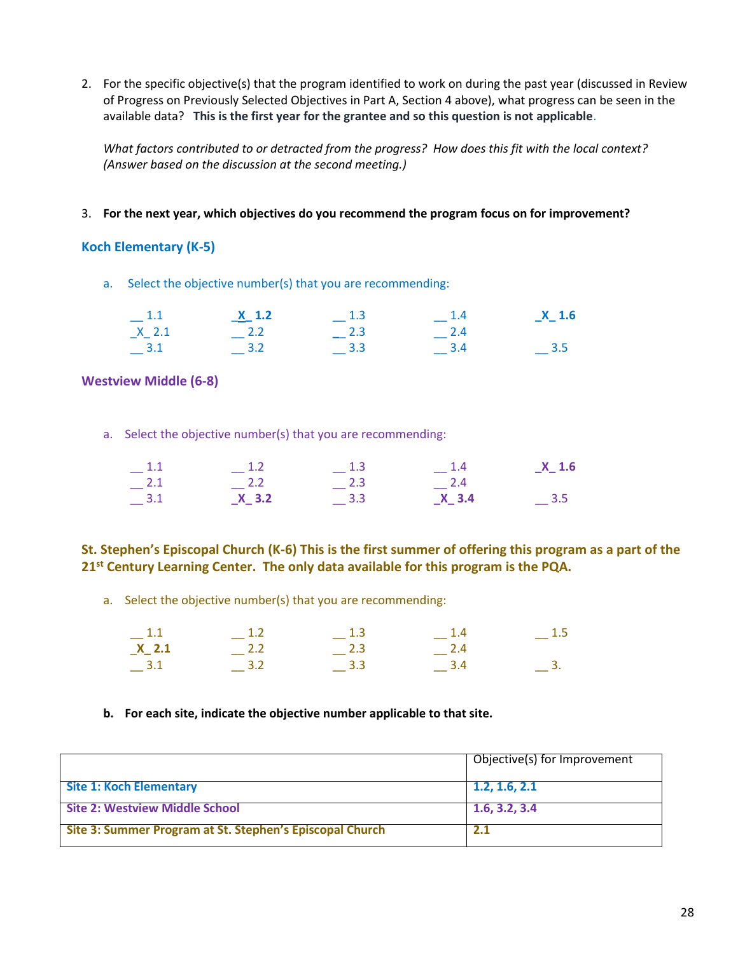2. For the specific objective(s) that the program identified to work on during the past year (discussed in Review of Progress on Previously Selected Objectives in Part A, Section 4 above), what progress can be seen in the available data? **This is the first year for the grantee and so this question is not applicable**.

*What factors contributed to or detracted from the progress? How does this fit with the local context? (Answer based on the discussion at the second meeting.)*

3. **For the next year, which objectives do you recommend the program focus on for improvement?**

#### **Koch Elementary (K-5)**

a. Select the objective number(s) that you are recommending:

| $-1.1$    | $X$ 1.2 | $-1.3$      | $-1.4$ | $X_1$ .6 |
|-----------|---------|-------------|--------|----------|
| $X_2$ 2.1 | 2.2     | $-{}^{2.3}$ | $-2.4$ |          |
| $-$ 3.1   | $-$ 3.2 | 3.3         | 3.4    | $-$ 3.5  |

#### **Westview Middle (6-8)**

a. Select the objective number(s) that you are recommending:

| $-1.1$ | $-1.2$  | $-1.3$                       | $-1.4$  | $X_1$ 1.6                    |
|--------|---------|------------------------------|---------|------------------------------|
| $-2.1$ | $-2.2$  | $-$ 2.3                      | $-2.4$  |                              |
| $-3.1$ | $X$ 3.2 | $\overline{\phantom{0}}$ 3.3 | $X$ 3.4 | $\overline{\phantom{0}}$ 3.5 |

**St. Stephen's Episcopal Church (K-6) This is the first summer of offering this program as a part of the 21st Century Learning Center. The only data available for this program is the PQA.**

a. Select the objective number(s) that you are recommending:

| $-1.1$    | $-1.2$ | $-1.3$  | $-1.4$      | $-1.5$ |
|-----------|--------|---------|-------------|--------|
| $X_2$ 2.1 | $-2.2$ | $-$ 2.3 | $-{}^{2.4}$ |        |
| $-3.1$    | $-3.2$ | $-$ 3.3 | $-3.4$      |        |

#### **b. For each site, indicate the objective number applicable to that site.**

|                                                          | Objective(s) for Improvement |
|----------------------------------------------------------|------------------------------|
| <b>Site 1: Koch Elementary</b>                           | 1.2, 1.6, 2.1                |
| <b>Site 2: Westview Middle School</b>                    | 1.6, 3.2, 3.4                |
| Site 3: Summer Program at St. Stephen's Episcopal Church | 2.1                          |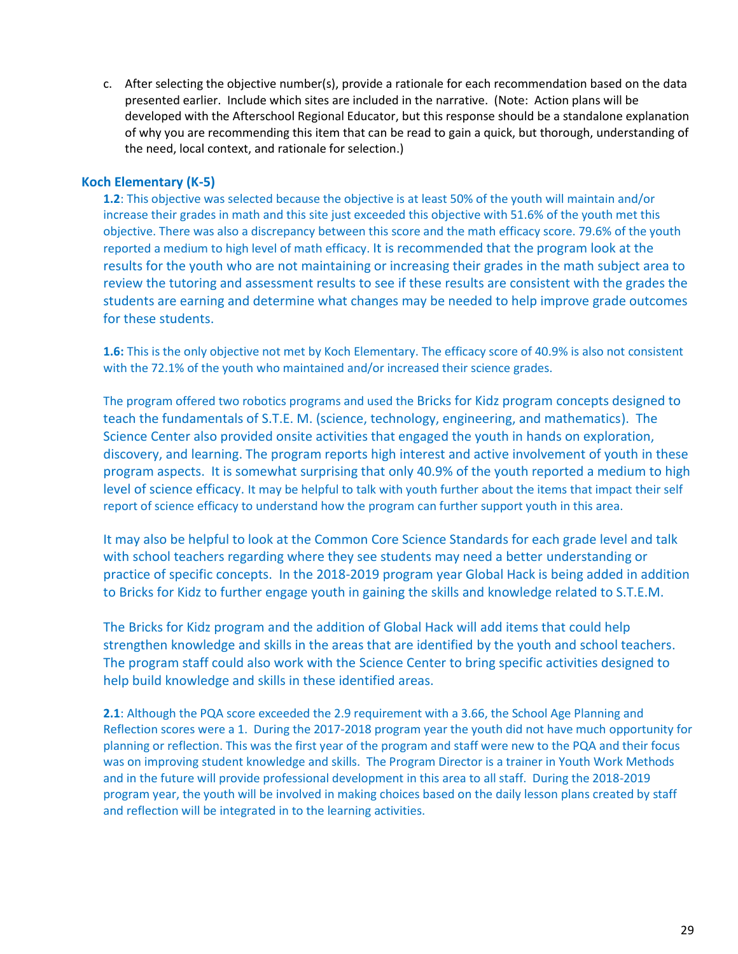c. After selecting the objective number(s), provide a rationale for each recommendation based on the data presented earlier. Include which sites are included in the narrative. (Note: Action plans will be developed with the Afterschool Regional Educator, but this response should be a standalone explanation of why you are recommending this item that can be read to gain a quick, but thorough, understanding of the need, local context, and rationale for selection.)

#### **Koch Elementary (K-5)**

**1.2**: This objective was selected because the objective is at least 50% of the youth will maintain and/or increase their grades in math and this site just exceeded this objective with 51.6% of the youth met this objective. There was also a discrepancy between this score and the math efficacy score. 79.6% of the youth reported a medium to high level of math efficacy. It is recommended that the program look at the results for the youth who are not maintaining or increasing their grades in the math subject area to review the tutoring and assessment results to see if these results are consistent with the grades the students are earning and determine what changes may be needed to help improve grade outcomes for these students.

**1.6:** This is the only objective not met by Koch Elementary. The efficacy score of 40.9% is also not consistent with the 72.1% of the youth who maintained and/or increased their science grades.

The program offered two robotics programs and used the Bricks for Kidz program concepts designed to teach the fundamentals of S.T.E. M. (science, technology, engineering, and mathematics). The Science Center also provided onsite activities that engaged the youth in hands on exploration, discovery, and learning. The program reports high interest and active involvement of youth in these program aspects. It is somewhat surprising that only 40.9% of the youth reported a medium to high level of science efficacy. It may be helpful to talk with youth further about the items that impact their self report of science efficacy to understand how the program can further support youth in this area.

It may also be helpful to look at the Common Core Science Standards for each grade level and talk with school teachers regarding where they see students may need a better understanding or practice of specific concepts. In the 2018-2019 program year Global Hack is being added in addition to Bricks for Kidz to further engage youth in gaining the skills and knowledge related to S.T.E.M.

The Bricks for Kidz program and the addition of Global Hack will add items that could help strengthen knowledge and skills in the areas that are identified by the youth and school teachers. The program staff could also work with the Science Center to bring specific activities designed to help build knowledge and skills in these identified areas.

**2.1**: Although the PQA score exceeded the 2.9 requirement with a 3.66, the School Age Planning and Reflection scores were a 1. During the 2017-2018 program year the youth did not have much opportunity for planning or reflection. This was the first year of the program and staff were new to the PQA and their focus was on improving student knowledge and skills. The Program Director is a trainer in Youth Work Methods and in the future will provide professional development in this area to all staff. During the 2018-2019 program year, the youth will be involved in making choices based on the daily lesson plans created by staff and reflection will be integrated in to the learning activities.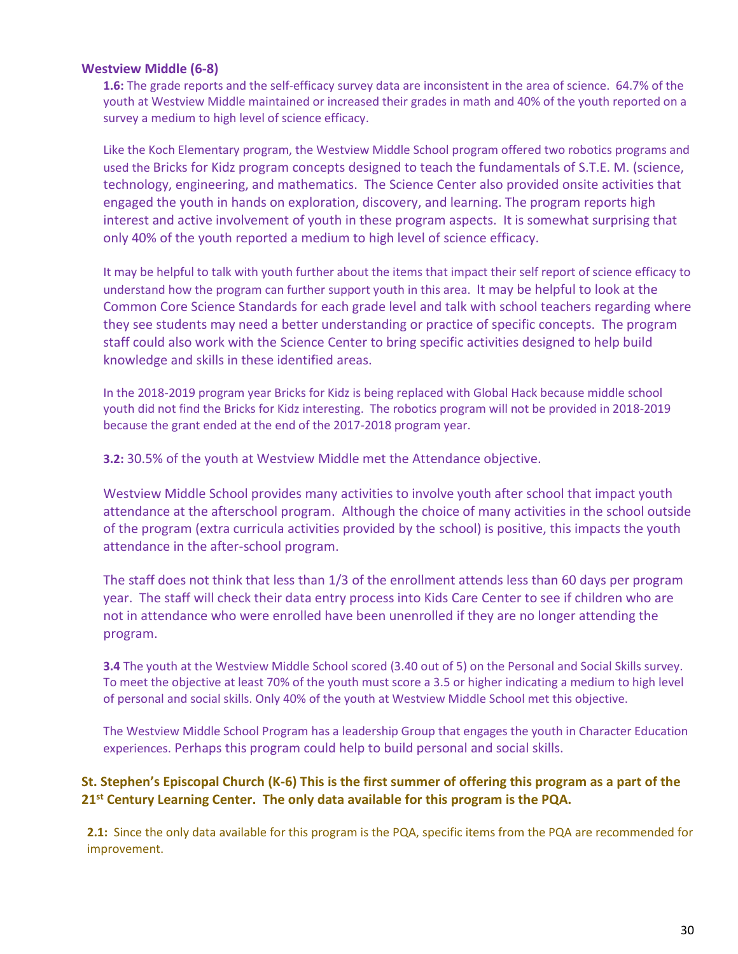#### **Westview Middle (6-8)**

**1.6:** The grade reports and the self-efficacy survey data are inconsistent in the area of science. 64.7% of the youth at Westview Middle maintained or increased their grades in math and 40% of the youth reported on a survey a medium to high level of science efficacy.

Like the Koch Elementary program, the Westview Middle School program offered two robotics programs and used the Bricks for Kidz program concepts designed to teach the fundamentals of S.T.E. M. (science, technology, engineering, and mathematics. The Science Center also provided onsite activities that engaged the youth in hands on exploration, discovery, and learning. The program reports high interest and active involvement of youth in these program aspects. It is somewhat surprising that only 40% of the youth reported a medium to high level of science efficacy.

It may be helpful to talk with youth further about the items that impact their self report of science efficacy to understand how the program can further support youth in this area. It may be helpful to look at the Common Core Science Standards for each grade level and talk with school teachers regarding where they see students may need a better understanding or practice of specific concepts. The program staff could also work with the Science Center to bring specific activities designed to help build knowledge and skills in these identified areas.

In the 2018-2019 program year Bricks for Kidz is being replaced with Global Hack because middle school youth did not find the Bricks for Kidz interesting. The robotics program will not be provided in 2018-2019 because the grant ended at the end of the 2017-2018 program year.

**3.2:** 30.5% of the youth at Westview Middle met the Attendance objective.

Westview Middle School provides many activities to involve youth after school that impact youth attendance at the afterschool program. Although the choice of many activities in the school outside of the program (extra curricula activities provided by the school) is positive, this impacts the youth attendance in the after-school program.

The staff does not think that less than 1/3 of the enrollment attends less than 60 days per program year. The staff will check their data entry process into Kids Care Center to see if children who are not in attendance who were enrolled have been unenrolled if they are no longer attending the program.

**3.4** The youth at the Westview Middle School scored (3.40 out of 5) on the Personal and Social Skills survey. To meet the objective at least 70% of the youth must score a 3.5 or higher indicating a medium to high level of personal and social skills. Only 40% of the youth at Westview Middle School met this objective.

The Westview Middle School Program has a leadership Group that engages the youth in Character Education experiences. Perhaps this program could help to build personal and social skills.

### **St. Stephen's Episcopal Church (K-6) This is the first summer of offering this program as a part of the 21st Century Learning Center. The only data available for this program is the PQA.**

**2.1:** Since the only data available for this program is the PQA, specific items from the PQA are recommended for improvement.